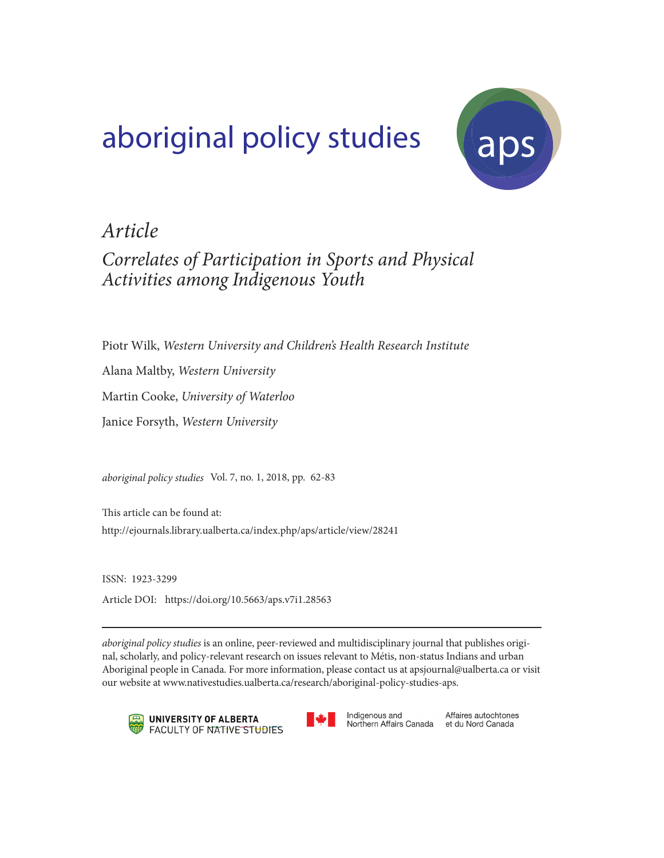# aboriginal policy studies (aps)



# *Article*

# *Correlates of Participation in Sports and Physical Activities among Indigenous Youth*

Piotr Wilk, *Western University and Children's Health Research Institute*

Alana Maltby, *Western University*

Martin Cooke, *University of Waterloo* 

Janice Forsyth, *Western University*

*aboriginal policy studies* Vol. 7, no. 1, 2018, pp. 62-83

This article can be found at: http://ejournals.library.ualberta.ca/index.php/aps/article/view/28241

ISSN: 1923-3299 Article DOI: https://doi.org/10.5663/aps.v7i1.28563

*aboriginal policy studies* is an online, peer-reviewed and multidisciplinary journal that publishes original, scholarly, and policy-relevant research on issues relevant to Métis, non-status Indians and urban Aboriginal people in Canada. For more information, please contact us at apsjournal@ualberta.ca or visit our website at www.nativestudies.ualberta.ca/research/aboriginal-policy-studies-aps.





Indigenous and Northern Affairs Canada

Affaires autochtones et du Nord Canada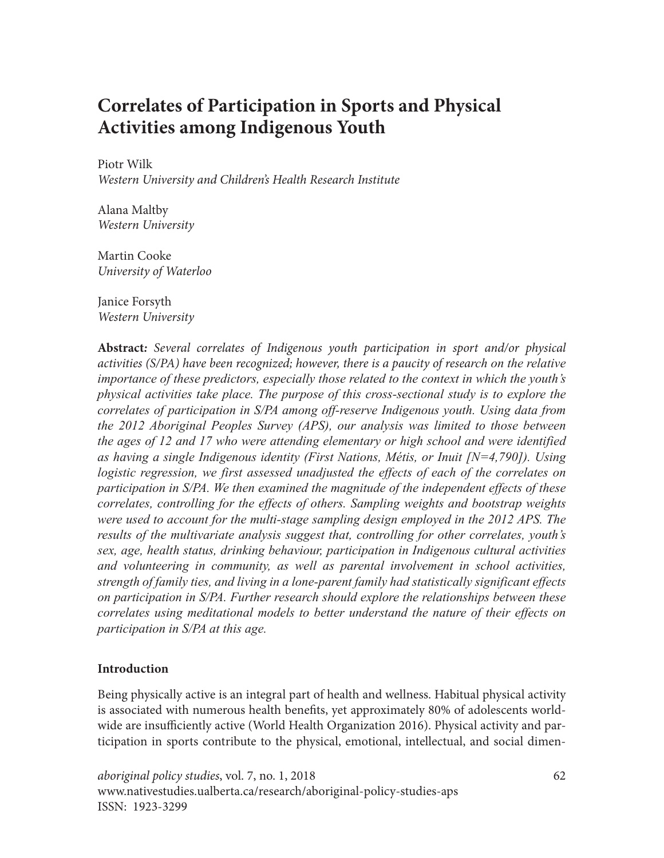# **Correlates of Participation in Sports and Physical Activities among Indigenous Youth**

Piotr Wilk *Western University and Children's Health Research Institute*

Alana Maltby *Western University*

Martin Cooke *University of Waterloo* 

Janice Forsyth *Western University*

**Abstract***: Several correlates of Indigenous youth participation in sport and/or physical activities (S/PA) have been recognized; however, there is a paucity of research on the relative importance of these predictors, especially those related to the context in which the youth's physical activities take place. The purpose of this cross-sectional study is to explore the correlates of participation in S/PA among off-reserve Indigenous youth. Using data from the 2012 Aboriginal Peoples Survey (APS), our analysis was limited to those between the ages of 12 and 17 who were attending elementary or high school and were identified as having a single Indigenous identity (First Nations, Métis, or Inuit [N=4,790]). Using logistic regression, we first assessed unadjusted the effects of each of the correlates on participation in S/PA. We then examined the magnitude of the independent effects of these correlates, controlling for the effects of others. Sampling weights and bootstrap weights were used to account for the multi-stage sampling design employed in the 2012 APS. The results of the multivariate analysis suggest that, controlling for other correlates, youth's sex, age, health status, drinking behaviour, participation in Indigenous cultural activities and volunteering in community, as well as parental involvement in school activities, strength of family ties, and living in a lone-parent family had statistically significant effects on participation in S/PA. Further research should explore the relationships between these correlates using meditational models to better understand the nature of their effects on participation in S/PA at this age.* 

## **Introduction**

Being physically active is an integral part of health and wellness. Habitual physical activity is associated with numerous health benefits, yet approximately 80% of adolescents worldwide are insufficiently active (World Health Organization 2016). Physical activity and participation in sports contribute to the physical, emotional, intellectual, and social dimen-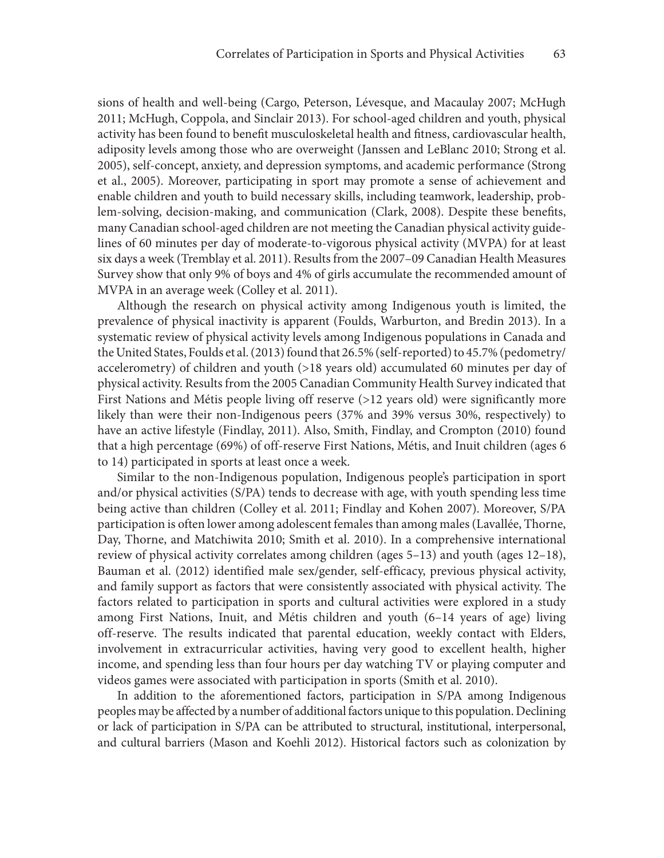sions of health and well-being (Cargo, Peterson, Lévesque, and Macaulay 2007; McHugh 2011; McHugh, Coppola, and Sinclair 2013). For school-aged children and youth, physical activity has been found to benefit musculoskeletal health and fitness, cardiovascular health, adiposity levels among those who are overweight (Janssen and LeBlanc 2010; Strong et al. 2005), self-concept, anxiety, and depression symptoms, and academic performance (Strong et al., 2005). Moreover, participating in sport may promote a sense of achievement and enable children and youth to build necessary skills, including teamwork, leadership, problem-solving, decision-making, and communication (Clark, 2008). Despite these benefits, many Canadian school-aged children are not meeting the Canadian physical activity guidelines of 60 minutes per day of moderate-to-vigorous physical activity (MVPA) for at least six days a week (Tremblay et al. 2011). Results from the 2007–09 Canadian Health Measures Survey show that only 9% of boys and 4% of girls accumulate the recommended amount of MVPA in an average week (Colley et al. 2011).

Although the research on physical activity among Indigenous youth is limited, the prevalence of physical inactivity is apparent (Foulds, Warburton, and Bredin 2013). In a systematic review of physical activity levels among Indigenous populations in Canada and the United States, Foulds et al. (2013) found that 26.5% (self-reported) to 45.7% (pedometry/ accelerometry) of children and youth (>18 years old) accumulated 60 minutes per day of physical activity. Results from the 2005 Canadian Community Health Survey indicated that First Nations and Métis people living off reserve (>12 years old) were significantly more likely than were their non-Indigenous peers (37% and 39% versus 30%, respectively) to have an active lifestyle (Findlay, 2011). Also, Smith, Findlay, and Crompton (2010) found that a high percentage (69%) of off-reserve First Nations, Métis, and Inuit children (ages 6 to 14) participated in sports at least once a week.

Similar to the non-Indigenous population, Indigenous people's participation in sport and/or physical activities (S/PA) tends to decrease with age, with youth spending less time being active than children (Colley et al. 2011; Findlay and Kohen 2007). Moreover, S/PA participation is often lower among adolescent females than among males (Lavallée, Thorne, Day, Thorne, and Matchiwita 2010; Smith et al. 2010). In a comprehensive international review of physical activity correlates among children (ages 5–13) and youth (ages 12–18), Bauman et al. (2012) identified male sex/gender, self-efficacy, previous physical activity, and family support as factors that were consistently associated with physical activity. The factors related to participation in sports and cultural activities were explored in a study among First Nations, Inuit, and Métis children and youth (6–14 years of age) living off-reserve. The results indicated that parental education, weekly contact with Elders, involvement in extracurricular activities, having very good to excellent health, higher income, and spending less than four hours per day watching TV or playing computer and videos games were associated with participation in sports (Smith et al. 2010).

In addition to the aforementioned factors, participation in S/PA among Indigenous peoples may be affected by a number of additional factors unique to this population. Declining or lack of participation in S/PA can be attributed to structural, institutional, interpersonal, and cultural barriers (Mason and Koehli 2012). Historical factors such as colonization by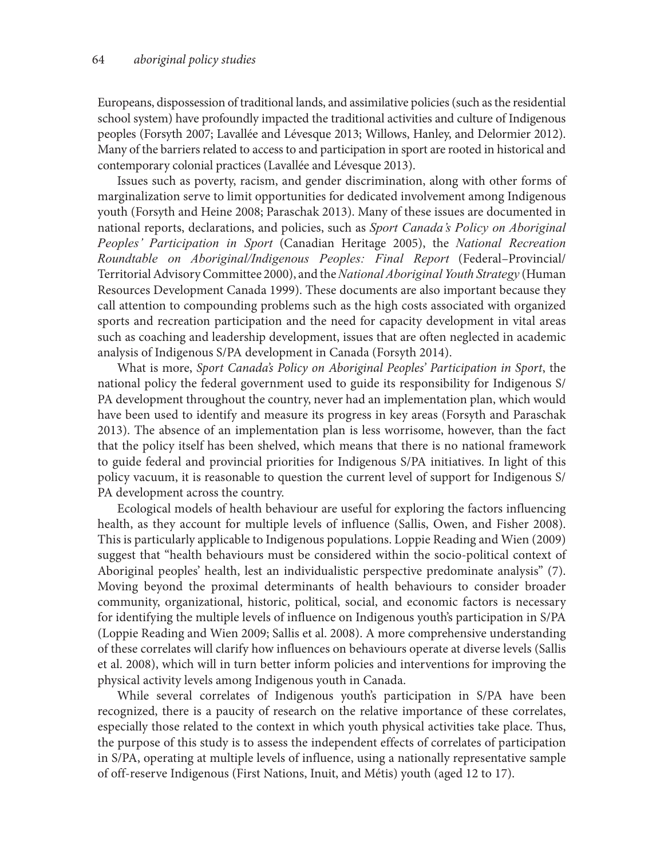Europeans, dispossession of traditional lands, and assimilative policies (such as the residential school system) have profoundly impacted the traditional activities and culture of Indigenous peoples (Forsyth 2007; Lavallée and Lévesque 2013; Willows, Hanley, and Delormier 2012). Many of the barriers related to access to and participation in sport are rooted in historical and contemporary colonial practices (Lavallée and Lévesque 2013).

Issues such as poverty, racism, and gender discrimination, along with other forms of marginalization serve to limit opportunities for dedicated involvement among Indigenous youth (Forsyth and Heine 2008; Paraschak 2013). Many of these issues are documented in national reports, declarations, and policies, such as *Sport Canada's Policy on Aboriginal Peoples' Participation in Sport* (Canadian Heritage 2005), the *National Recreation Roundtable on Aboriginal/Indigenous Peoples: Final Report* (Federal–Provincial/ Territorial Advisory Committee 2000), and the *National Aboriginal Youth Strategy* (Human Resources Development Canada 1999). These documents are also important because they call attention to compounding problems such as the high costs associated with organized sports and recreation participation and the need for capacity development in vital areas such as coaching and leadership development, issues that are often neglected in academic analysis of Indigenous S/PA development in Canada (Forsyth 2014).

What is more, *Sport Canada's Policy on Aboriginal Peoples' Participation in Sport*, the national policy the federal government used to guide its responsibility for Indigenous S/ PA development throughout the country, never had an implementation plan, which would have been used to identify and measure its progress in key areas (Forsyth and Paraschak 2013). The absence of an implementation plan is less worrisome, however, than the fact that the policy itself has been shelved, which means that there is no national framework to guide federal and provincial priorities for Indigenous S/PA initiatives. In light of this policy vacuum, it is reasonable to question the current level of support for Indigenous S/ PA development across the country.

Ecological models of health behaviour are useful for exploring the factors influencing health, as they account for multiple levels of influence (Sallis, Owen, and Fisher 2008). This is particularly applicable to Indigenous populations. Loppie Reading and Wien (2009) suggest that "health behaviours must be considered within the socio-political context of Aboriginal peoples' health, lest an individualistic perspective predominate analysis" (7). Moving beyond the proximal determinants of health behaviours to consider broader community, organizational, historic, political, social, and economic factors is necessary for identifying the multiple levels of influence on Indigenous youth's participation in S/PA (Loppie Reading and Wien 2009; Sallis et al. 2008). A more comprehensive understanding of these correlates will clarify how influences on behaviours operate at diverse levels (Sallis et al. 2008), which will in turn better inform policies and interventions for improving the physical activity levels among Indigenous youth in Canada.

While several correlates of Indigenous youth's participation in S/PA have been recognized, there is a paucity of research on the relative importance of these correlates, especially those related to the context in which youth physical activities take place. Thus, the purpose of this study is to assess the independent effects of correlates of participation in S/PA, operating at multiple levels of influence, using a nationally representative sample of off-reserve Indigenous (First Nations, Inuit, and Métis) youth (aged 12 to 17).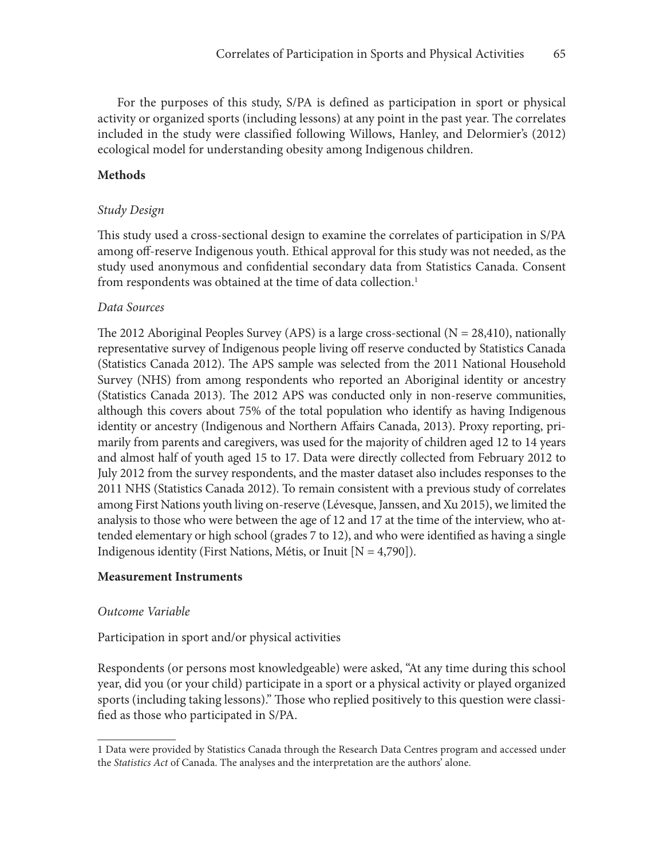For the purposes of this study, S/PA is defined as participation in sport or physical activity or organized sports (including lessons) at any point in the past year. The correlates included in the study were classified following Willows, Hanley, and Delormier's (2012) ecological model for understanding obesity among Indigenous children.

# **Methods**

# *Study Design*

This study used a cross-sectional design to examine the correlates of participation in S/PA among off-reserve Indigenous youth. Ethical approval for this study was not needed, as the study used anonymous and confidential secondary data from Statistics Canada. Consent from respondents was obtained at the time of data collection.<sup>1</sup>

## *Data Sources*

The 2012 Aboriginal Peoples Survey (APS) is a large cross-sectional ( $N = 28,410$ ), nationally representative survey of Indigenous people living off reserve conducted by Statistics Canada (Statistics Canada 2012). The APS sample was selected from the 2011 National Household Survey (NHS) from among respondents who reported an Aboriginal identity or ancestry (Statistics Canada 2013). The 2012 APS was conducted only in non-reserve communities, although this covers about 75% of the total population who identify as having Indigenous identity or ancestry (Indigenous and Northern Affairs Canada, 2013). Proxy reporting, primarily from parents and caregivers, was used for the majority of children aged 12 to 14 years and almost half of youth aged 15 to 17. Data were directly collected from February 2012 to July 2012 from the survey respondents, and the master dataset also includes responses to the 2011 NHS (Statistics Canada 2012). To remain consistent with a previous study of correlates among First Nations youth living on-reserve (Lévesque, Janssen, and Xu 2015), we limited the analysis to those who were between the age of 12 and 17 at the time of the interview, who attended elementary or high school (grades 7 to 12), and who were identified as having a single Indigenous identity (First Nations, Métis, or Inuit  $[N = 4,790]$ ).

## **Measurement Instruments**

## *Outcome Variable*

Participation in sport and/or physical activities

Respondents (or persons most knowledgeable) were asked, "At any time during this school year, did you (or your child) participate in a sport or a physical activity or played organized sports (including taking lessons)." Those who replied positively to this question were classified as those who participated in S/PA.

<sup>1</sup> Data were provided by Statistics Canada through the Research Data Centres program and accessed under the *Statistics Act* of Canada. The analyses and the interpretation are the authors' alone.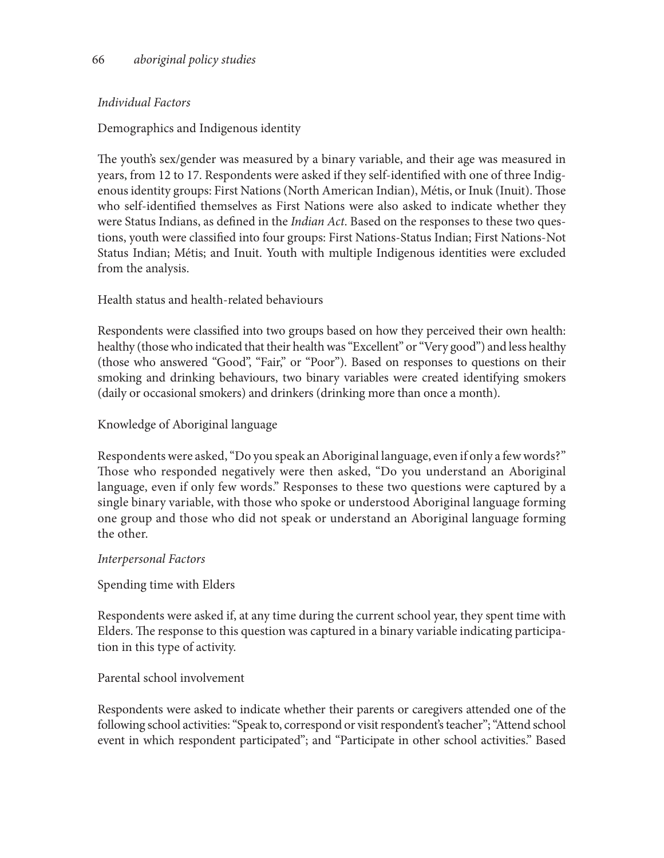# *Individual Factors*

# Demographics and Indigenous identity

The youth's sex/gender was measured by a binary variable, and their age was measured in years, from 12 to 17. Respondents were asked if they self-identified with one of three Indigenous identity groups: First Nations (North American Indian), Métis, or Inuk (Inuit). Those who self-identified themselves as First Nations were also asked to indicate whether they were Status Indians, as defined in the *Indian Act*. Based on the responses to these two questions, youth were classified into four groups: First Nations-Status Indian; First Nations-Not Status Indian; Métis; and Inuit. Youth with multiple Indigenous identities were excluded from the analysis.

# Health status and health-related behaviours

Respondents were classified into two groups based on how they perceived their own health: healthy (those who indicated that their health was "Excellent" or "Very good") and less healthy (those who answered "Good", "Fair," or "Poor"). Based on responses to questions on their smoking and drinking behaviours, two binary variables were created identifying smokers (daily or occasional smokers) and drinkers (drinking more than once a month).

# Knowledge of Aboriginal language

Respondents were asked, "Do you speak an Aboriginal language, even if only a few words?" Those who responded negatively were then asked, "Do you understand an Aboriginal language, even if only few words." Responses to these two questions were captured by a single binary variable, with those who spoke or understood Aboriginal language forming one group and those who did not speak or understand an Aboriginal language forming the other.

## *Interpersonal Factors*

## Spending time with Elders

Respondents were asked if, at any time during the current school year, they spent time with Elders. The response to this question was captured in a binary variable indicating participation in this type of activity.

## Parental school involvement

Respondents were asked to indicate whether their parents or caregivers attended one of the following school activities: "Speak to, correspond or visit respondent's teacher"; "Attend school event in which respondent participated"; and "Participate in other school activities." Based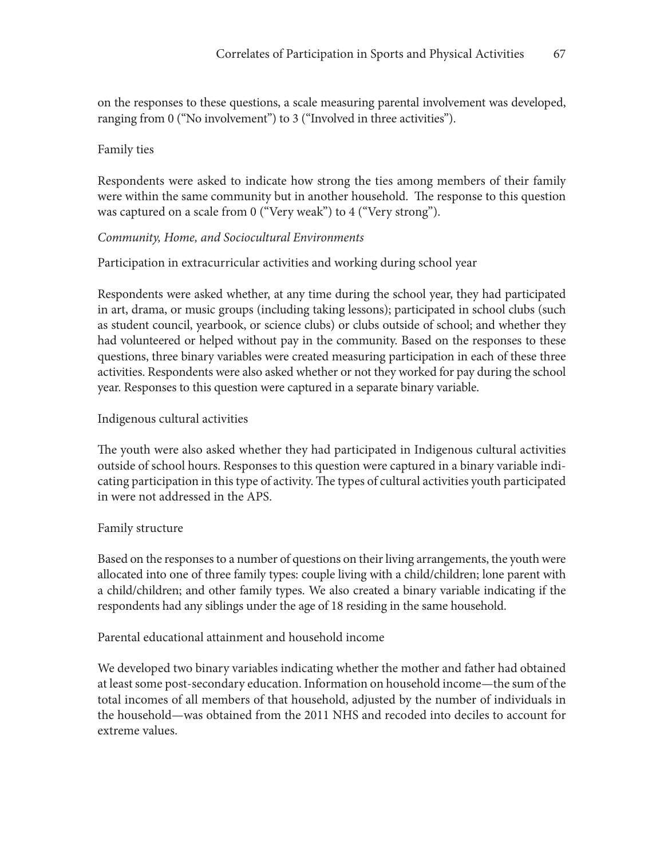on the responses to these questions, a scale measuring parental involvement was developed, ranging from 0 ("No involvement") to 3 ("Involved in three activities").

#### Family ties

Respondents were asked to indicate how strong the ties among members of their family were within the same community but in another household. The response to this question was captured on a scale from 0 ("Very weak") to 4 ("Very strong").

#### *Community, Home, and Sociocultural Environments*

Participation in extracurricular activities and working during school year

Respondents were asked whether, at any time during the school year, they had participated in art, drama, or music groups (including taking lessons); participated in school clubs (such as student council, yearbook, or science clubs) or clubs outside of school; and whether they had volunteered or helped without pay in the community. Based on the responses to these questions, three binary variables were created measuring participation in each of these three activities. Respondents were also asked whether or not they worked for pay during the school year. Responses to this question were captured in a separate binary variable.

#### Indigenous cultural activities

The youth were also asked whether they had participated in Indigenous cultural activities outside of school hours. Responses to this question were captured in a binary variable indicating participation in this type of activity. The types of cultural activities youth participated in were not addressed in the APS.

#### Family structure

Based on the responses to a number of questions on their living arrangements, the youth were allocated into one of three family types: couple living with a child/children; lone parent with a child/children; and other family types. We also created a binary variable indicating if the respondents had any siblings under the age of 18 residing in the same household.

#### Parental educational attainment and household income

We developed two binary variables indicating whether the mother and father had obtained at least some post-secondary education. Information on household income—the sum of the total incomes of all members of that household, adjusted by the number of individuals in the household—was obtained from the 2011 NHS and recoded into deciles to account for extreme values.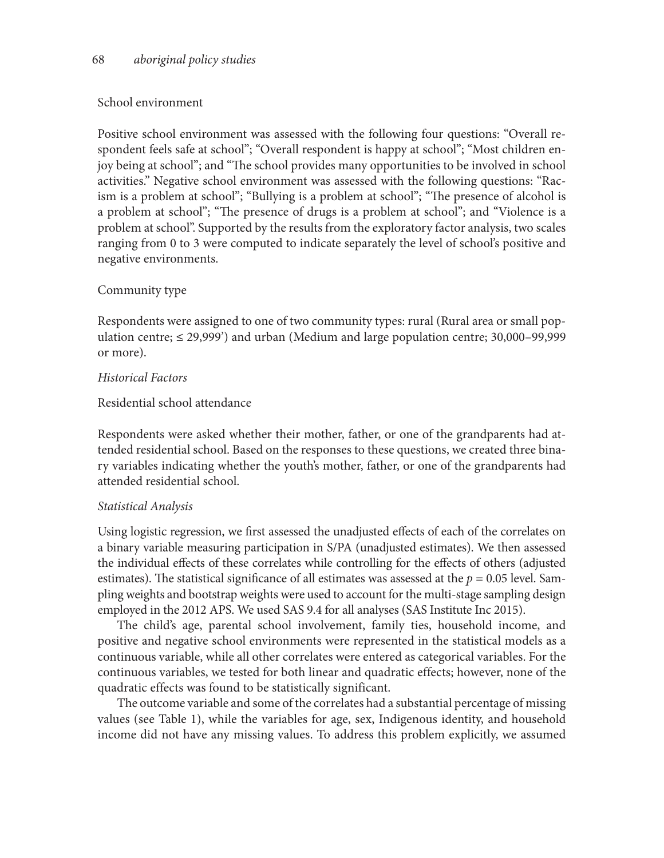#### School environment

Positive school environment was assessed with the following four questions: "Overall respondent feels safe at school"; "Overall respondent is happy at school"; "Most children enjoy being at school"; and "The school provides many opportunities to be involved in school activities." Negative school environment was assessed with the following questions: "Racism is a problem at school"; "Bullying is a problem at school"; "The presence of alcohol is a problem at school"; "The presence of drugs is a problem at school"; and "Violence is a problem at school". Supported by the results from the exploratory factor analysis, two scales ranging from 0 to 3 were computed to indicate separately the level of school's positive and negative environments.

## Community type

Respondents were assigned to one of two community types: rural (Rural area or small population centre;  $\leq$  29,999') and urban (Medium and large population centre; 30,000–99,999 or more).

#### *Historical Factors*

#### Residential school attendance

Respondents were asked whether their mother, father, or one of the grandparents had attended residential school. Based on the responses to these questions, we created three binary variables indicating whether the youth's mother, father, or one of the grandparents had attended residential school.

#### *Statistical Analysis*

Using logistic regression, we first assessed the unadjusted effects of each of the correlates on a binary variable measuring participation in S/PA (unadjusted estimates). We then assessed the individual effects of these correlates while controlling for the effects of others (adjusted estimates). The statistical significance of all estimates was assessed at the  $p = 0.05$  level. Sampling weights and bootstrap weights were used to account for the multi-stage sampling design employed in the 2012 APS. We used SAS 9.4 for all analyses (SAS Institute Inc 2015).

The child's age, parental school involvement, family ties, household income, and positive and negative school environments were represented in the statistical models as a continuous variable, while all other correlates were entered as categorical variables. For the continuous variables, we tested for both linear and quadratic effects; however, none of the quadratic effects was found to be statistically significant.

The outcome variable and some of the correlates had a substantial percentage of missing values (see Table 1), while the variables for age, sex, Indigenous identity, and household income did not have any missing values. To address this problem explicitly, we assumed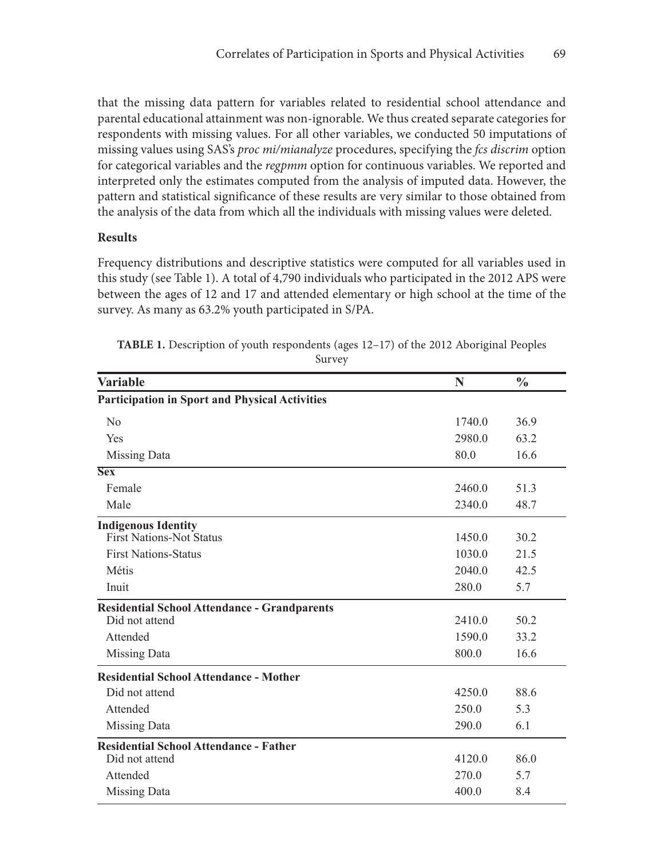that the missing data pattern for variables related to residential school attendance and parental educational attainment was non-ignorable. We thus created separate categories for respondents with missing values. For all other variables, we conducted 50 imputations of missing values using SAS's *proc mi/mianalyze* procedures, specifying the *fcs discrim* option for categorical variables and the *regpmm* option for continuous variables. We reported and interpreted only the estimates computed from the analysis of imputed data. However, the pattern and statistical significance of these results are very similar to those obtained from the analysis of the data from which all the individuals with missing values were deleted.

#### **Results**

Frequency distributions and descriptive statistics were computed for all variables used in this study (see Table 1). A total of 4,790 individuals who participated in the 2012 APS were between the ages of 12 and 17 and attended elementary or high school at the time of the survey. As many as 63.2% youth participated in S/PA.

| <b>Variable</b>                                       | N      | $\frac{0}{0}$ |
|-------------------------------------------------------|--------|---------------|
| <b>Participation in Sport and Physical Activities</b> |        |               |
| N <sub>0</sub>                                        | 1740.0 | 36.9          |
| Yes                                                   | 2980.0 | 63.2          |
| Missing Data                                          | 80.0   | 16.6          |
| <b>Sex</b>                                            |        |               |
| Female                                                | 2460.0 | 51.3          |
| Male                                                  | 2340.0 | 48.7          |
| <b>Indigenous Identity</b>                            |        |               |
| <b>First Nations-Not Status</b>                       | 1450.0 | 30.2          |
| <b>First Nations-Status</b>                           | 1030.0 | 21.5          |
| Métis                                                 | 2040.0 | 42.5          |
| Inuit                                                 | 280.0  | 5.7           |
| <b>Residential School Attendance - Grandparents</b>   |        |               |
| Did not attend                                        | 2410.0 | 50.2          |
| Attended                                              | 1590.0 | 33.2          |
| <b>Missing Data</b>                                   | 800.0  | 16.6          |
| <b>Residential School Attendance - Mother</b>         |        |               |
| Did not attend                                        | 4250.0 | 88.6          |
| Attended                                              | 250.0  | 5.3           |
| Missing Data                                          | 290.0  | 6.1           |
| <b>Residential School Attendance - Father</b>         |        |               |
| Did not attend                                        | 4120.0 | 86.0          |
| Attended                                              | 270.0  | 5.7           |
| Missing Data                                          | 400.0  | 8.4           |

**TABLE 1.** Description of youth respondents (ages 12–17) of the 2012 Aboriginal Peoples Survey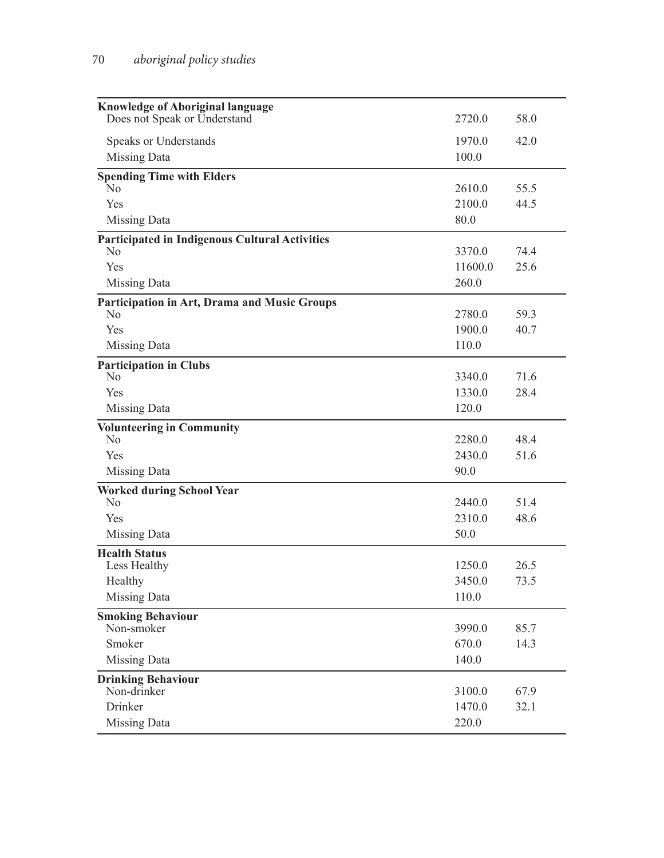| <b>Knowledge of Aboriginal language</b><br>Does not Speak or Understand | 2720.0            | 58.0         |
|-------------------------------------------------------------------------|-------------------|--------------|
| Speaks or Understands                                                   | 1970.0            | 42.0         |
| Missing Data                                                            | 100.0             |              |
| <b>Spending Time with Elders</b>                                        |                   |              |
| No                                                                      | 2610.0            | 55.5         |
| Yes                                                                     | 2100.0            | 44.5         |
| Missing Data                                                            | 80.0              |              |
| <b>Participated in Indigenous Cultural Activities</b>                   |                   |              |
| N <sub>0</sub><br>Yes                                                   | 3370.0<br>11600.0 | 74.4<br>25.6 |
| <b>Missing Data</b>                                                     | 260.0             |              |
|                                                                         |                   |              |
| Participation in Art, Drama and Music Groups<br>$\rm No$                | 2780.0            | 59.3         |
| Yes                                                                     | 1900.0            | 40.7         |
| <b>Missing Data</b>                                                     | 110.0             |              |
| <b>Participation in Clubs</b>                                           |                   |              |
| No                                                                      | 3340.0            | 71.6         |
| Yes                                                                     | 1330.0            | 28.4         |
| Missing Data                                                            | 120.0             |              |
| <b>Volunteering in Community</b>                                        |                   |              |
| No                                                                      | 2280.0            | 48.4         |
| Yes                                                                     | 2430.0            | 51.6         |
| <b>Missing Data</b>                                                     | 90.0              |              |
| <b>Worked during School Year</b><br>N <sub>o</sub>                      | 2440.0            | 51.4         |
| Yes                                                                     | 2310.0            | 48.6         |
| <b>Missing Data</b>                                                     | 50.0              |              |
| <b>Health Status</b>                                                    |                   |              |
| Less Healthy                                                            | 1250.0            | 26.5         |
| Healthy                                                                 | 3450.0            | 73.5         |
| <b>Missing Data</b>                                                     | 110.0             |              |
| <b>Smoking Behaviour</b>                                                |                   |              |
| Non-smoker                                                              | 3990.0            | 85.7         |
| Smoker                                                                  | 670.0             | 14.3         |
| <b>Missing Data</b>                                                     | 140.0             |              |
| <b>Drinking Behaviour</b>                                               |                   |              |
| Non-drinker                                                             | 3100.0            | 67.9         |
| <b>Drinker</b>                                                          | 1470.0            | 32.1         |
| <b>Missing Data</b>                                                     | 220.0             |              |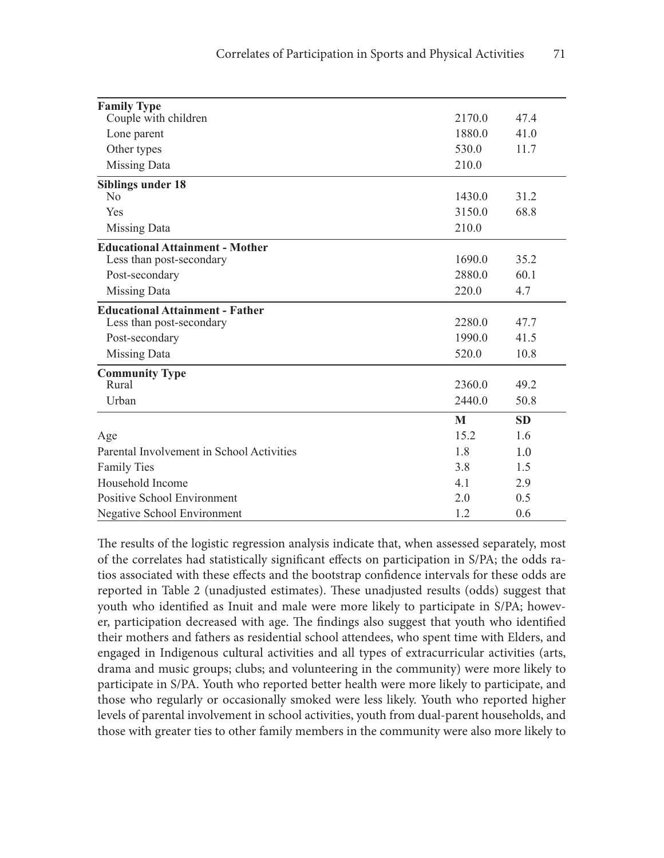| <b>Family Type</b><br>Couple with children | 2170.0 | 47.4      |
|--------------------------------------------|--------|-----------|
|                                            | 1880.0 | 41.0      |
| Lone parent                                | 530.0  |           |
| Other types                                |        | 11.7      |
| <b>Missing Data</b>                        | 210.0  |           |
| <b>Siblings under 18</b>                   |        |           |
| N <sub>0</sub>                             | 1430.0 | 31.2      |
| Yes                                        | 3150.0 | 68.8      |
| Missing Data                               | 210.0  |           |
| <b>Educational Attainment - Mother</b>     |        |           |
| Less than post-secondary                   | 1690.0 | 35.2      |
| Post-secondary                             | 2880.0 | 60.1      |
| Missing Data                               | 220.0  | 4.7       |
| <b>Educational Attainment - Father</b>     |        |           |
| Less than post-secondary                   | 2280.0 | 47.7      |
| Post-secondary                             | 1990.0 | 41.5      |
| <b>Missing Data</b>                        | 520.0  | 10.8      |
| <b>Community Type</b>                      |        |           |
| Rural                                      | 2360.0 | 49.2      |
| Urban                                      | 2440.0 | 50.8      |
|                                            | M      | <b>SD</b> |
| Age                                        | 15.2   | 1.6       |
| Parental Involvement in School Activities  | 1.8    | 1.0       |
| <b>Family Ties</b>                         | 3.8    | 1.5       |
| Household Income                           | 4.1    | 2.9       |
| <b>Positive School Environment</b>         | 2.0    | 0.5       |
| <b>Negative School Environment</b>         | 1.2    | 0.6       |

The results of the logistic regression analysis indicate that, when assessed separately, most of the correlates had statistically significant effects on participation in S/PA; the odds ratios associated with these effects and the bootstrap confidence intervals for these odds are reported in Table 2 (unadjusted estimates). These unadjusted results (odds) suggest that youth who identified as Inuit and male were more likely to participate in S/PA; however, participation decreased with age. The findings also suggest that youth who identified their mothers and fathers as residential school attendees, who spent time with Elders, and engaged in Indigenous cultural activities and all types of extracurricular activities (arts, drama and music groups; clubs; and volunteering in the community) were more likely to participate in S/PA. Youth who reported better health were more likely to participate, and those who regularly or occasionally smoked were less likely. Youth who reported higher levels of parental involvement in school activities, youth from dual-parent households, and those with greater ties to other family members in the community were also more likely to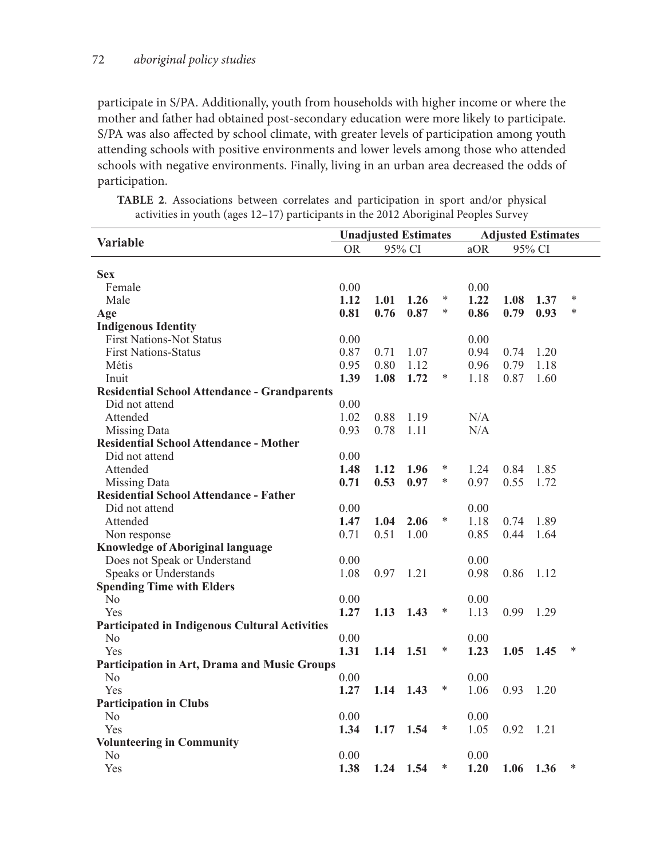participate in S/PA. Additionally, youth from households with higher income or where the mother and father had obtained post-secondary education were more likely to participate. S/PA was also affected by school climate, with greater levels of participation among youth attending schools with positive environments and lower levels among those who attended schools with negative environments. Finally, living in an urban area decreased the odds of participation.

| 95% CI<br>95% CI<br><b>OR</b><br>aOR<br><b>Sex</b><br>Female<br>0.00<br>0.00<br>*<br>1.22<br>*<br>Male<br>1.12<br>1.01<br>1.26<br>1.08<br>1.37<br>$\ast$<br>0.81<br>*<br>0.76<br>0.87<br>0.86<br>0.79<br>0.93<br>Age<br><b>Indigenous Identity</b><br><b>First Nations-Not Status</b><br>0.00<br>0.00<br>0.87<br>1.07<br>0.94<br><b>First Nations-Status</b><br>0.71<br>0.74<br>1.20<br>0.95<br>0.80<br>0.79<br>Métis<br>1.12<br>0.96<br>1.18<br>1.39<br>1.72<br>$\ast$<br>0.87<br>1.08<br>1.18<br>1.60<br>Inuit<br><b>Residential School Attendance - Grandparents</b><br>0.00<br>Did not attend<br>Attended<br>1.02<br>0.88<br>1.19<br>N/A<br>0.93<br><b>Missing Data</b><br>0.78<br>1.11<br>N/A<br><b>Residential School Attendance - Mother</b><br>Did not attend<br>0.00<br>Attended<br>1.48<br>1.96<br>$\ast$<br>1.24<br>0.84<br>1.85<br>1.12<br>0.71<br>0.53<br>$\ast$<br>0.97<br><b>Missing Data</b><br>0.97<br>0.55<br>1.72<br><b>Residential School Attendance - Father</b><br>Did not attend<br>0.00<br>0.00<br>$\ast$<br>1.47<br>1.04<br>2.06<br>1.18<br>0.74<br>1.89<br>Attended<br>0.71<br>0.51<br>1.00<br>0.85<br>0.44<br>1.64<br>Non response<br><b>Knowledge of Aboriginal language</b><br>Does not Speak or Understand<br>0.00<br>0.00<br>Speaks or Understands<br>1.08<br>1.21<br>0.98<br>0.86<br>0.97<br>1.12<br><b>Spending Time with Elders</b><br>N <sub>0</sub><br>0.00<br>0.00<br>1.27<br>∗<br>Yes<br>1.13<br>1.43<br>1.13<br>0.99<br>1.29<br><b>Participated in Indigenous Cultural Activities</b><br>N <sub>0</sub><br>0.00<br>0.00<br>$\ast$<br>1.31<br>$\ast$<br>1.23<br>Yes<br>1.14<br>1.51<br>1.05<br>1.45<br><b>Participation in Art, Drama and Music Groups</b><br>N <sub>o</sub><br>0.00<br>0.00<br>*<br>Yes<br>1.27<br>1.14<br>1.43<br>1.06<br>0.93<br>1.20<br><b>Participation in Clubs</b><br>N <sub>0</sub><br>0.00<br>0.00<br>*<br>Yes<br>1.34<br>1.17<br>1.54<br>1.05<br>0.92<br>1.21 | <b>Variable</b>                  |  | <b>Unadjusted Estimates</b> |  |  |  | <b>Adjusted Estimates</b> |  |  |  |
|-------------------------------------------------------------------------------------------------------------------------------------------------------------------------------------------------------------------------------------------------------------------------------------------------------------------------------------------------------------------------------------------------------------------------------------------------------------------------------------------------------------------------------------------------------------------------------------------------------------------------------------------------------------------------------------------------------------------------------------------------------------------------------------------------------------------------------------------------------------------------------------------------------------------------------------------------------------------------------------------------------------------------------------------------------------------------------------------------------------------------------------------------------------------------------------------------------------------------------------------------------------------------------------------------------------------------------------------------------------------------------------------------------------------------------------------------------------------------------------------------------------------------------------------------------------------------------------------------------------------------------------------------------------------------------------------------------------------------------------------------------------------------------------------------------------------------------------------------------------------------------------------------------------------------------|----------------------------------|--|-----------------------------|--|--|--|---------------------------|--|--|--|
|                                                                                                                                                                                                                                                                                                                                                                                                                                                                                                                                                                                                                                                                                                                                                                                                                                                                                                                                                                                                                                                                                                                                                                                                                                                                                                                                                                                                                                                                                                                                                                                                                                                                                                                                                                                                                                                                                                                               |                                  |  |                             |  |  |  |                           |  |  |  |
|                                                                                                                                                                                                                                                                                                                                                                                                                                                                                                                                                                                                                                                                                                                                                                                                                                                                                                                                                                                                                                                                                                                                                                                                                                                                                                                                                                                                                                                                                                                                                                                                                                                                                                                                                                                                                                                                                                                               |                                  |  |                             |  |  |  |                           |  |  |  |
|                                                                                                                                                                                                                                                                                                                                                                                                                                                                                                                                                                                                                                                                                                                                                                                                                                                                                                                                                                                                                                                                                                                                                                                                                                                                                                                                                                                                                                                                                                                                                                                                                                                                                                                                                                                                                                                                                                                               |                                  |  |                             |  |  |  |                           |  |  |  |
|                                                                                                                                                                                                                                                                                                                                                                                                                                                                                                                                                                                                                                                                                                                                                                                                                                                                                                                                                                                                                                                                                                                                                                                                                                                                                                                                                                                                                                                                                                                                                                                                                                                                                                                                                                                                                                                                                                                               |                                  |  |                             |  |  |  |                           |  |  |  |
|                                                                                                                                                                                                                                                                                                                                                                                                                                                                                                                                                                                                                                                                                                                                                                                                                                                                                                                                                                                                                                                                                                                                                                                                                                                                                                                                                                                                                                                                                                                                                                                                                                                                                                                                                                                                                                                                                                                               |                                  |  |                             |  |  |  |                           |  |  |  |
|                                                                                                                                                                                                                                                                                                                                                                                                                                                                                                                                                                                                                                                                                                                                                                                                                                                                                                                                                                                                                                                                                                                                                                                                                                                                                                                                                                                                                                                                                                                                                                                                                                                                                                                                                                                                                                                                                                                               |                                  |  |                             |  |  |  |                           |  |  |  |
|                                                                                                                                                                                                                                                                                                                                                                                                                                                                                                                                                                                                                                                                                                                                                                                                                                                                                                                                                                                                                                                                                                                                                                                                                                                                                                                                                                                                                                                                                                                                                                                                                                                                                                                                                                                                                                                                                                                               |                                  |  |                             |  |  |  |                           |  |  |  |
|                                                                                                                                                                                                                                                                                                                                                                                                                                                                                                                                                                                                                                                                                                                                                                                                                                                                                                                                                                                                                                                                                                                                                                                                                                                                                                                                                                                                                                                                                                                                                                                                                                                                                                                                                                                                                                                                                                                               |                                  |  |                             |  |  |  |                           |  |  |  |
|                                                                                                                                                                                                                                                                                                                                                                                                                                                                                                                                                                                                                                                                                                                                                                                                                                                                                                                                                                                                                                                                                                                                                                                                                                                                                                                                                                                                                                                                                                                                                                                                                                                                                                                                                                                                                                                                                                                               |                                  |  |                             |  |  |  |                           |  |  |  |
|                                                                                                                                                                                                                                                                                                                                                                                                                                                                                                                                                                                                                                                                                                                                                                                                                                                                                                                                                                                                                                                                                                                                                                                                                                                                                                                                                                                                                                                                                                                                                                                                                                                                                                                                                                                                                                                                                                                               |                                  |  |                             |  |  |  |                           |  |  |  |
|                                                                                                                                                                                                                                                                                                                                                                                                                                                                                                                                                                                                                                                                                                                                                                                                                                                                                                                                                                                                                                                                                                                                                                                                                                                                                                                                                                                                                                                                                                                                                                                                                                                                                                                                                                                                                                                                                                                               |                                  |  |                             |  |  |  |                           |  |  |  |
|                                                                                                                                                                                                                                                                                                                                                                                                                                                                                                                                                                                                                                                                                                                                                                                                                                                                                                                                                                                                                                                                                                                                                                                                                                                                                                                                                                                                                                                                                                                                                                                                                                                                                                                                                                                                                                                                                                                               |                                  |  |                             |  |  |  |                           |  |  |  |
|                                                                                                                                                                                                                                                                                                                                                                                                                                                                                                                                                                                                                                                                                                                                                                                                                                                                                                                                                                                                                                                                                                                                                                                                                                                                                                                                                                                                                                                                                                                                                                                                                                                                                                                                                                                                                                                                                                                               |                                  |  |                             |  |  |  |                           |  |  |  |
|                                                                                                                                                                                                                                                                                                                                                                                                                                                                                                                                                                                                                                                                                                                                                                                                                                                                                                                                                                                                                                                                                                                                                                                                                                                                                                                                                                                                                                                                                                                                                                                                                                                                                                                                                                                                                                                                                                                               |                                  |  |                             |  |  |  |                           |  |  |  |
|                                                                                                                                                                                                                                                                                                                                                                                                                                                                                                                                                                                                                                                                                                                                                                                                                                                                                                                                                                                                                                                                                                                                                                                                                                                                                                                                                                                                                                                                                                                                                                                                                                                                                                                                                                                                                                                                                                                               |                                  |  |                             |  |  |  |                           |  |  |  |
|                                                                                                                                                                                                                                                                                                                                                                                                                                                                                                                                                                                                                                                                                                                                                                                                                                                                                                                                                                                                                                                                                                                                                                                                                                                                                                                                                                                                                                                                                                                                                                                                                                                                                                                                                                                                                                                                                                                               |                                  |  |                             |  |  |  |                           |  |  |  |
|                                                                                                                                                                                                                                                                                                                                                                                                                                                                                                                                                                                                                                                                                                                                                                                                                                                                                                                                                                                                                                                                                                                                                                                                                                                                                                                                                                                                                                                                                                                                                                                                                                                                                                                                                                                                                                                                                                                               |                                  |  |                             |  |  |  |                           |  |  |  |
|                                                                                                                                                                                                                                                                                                                                                                                                                                                                                                                                                                                                                                                                                                                                                                                                                                                                                                                                                                                                                                                                                                                                                                                                                                                                                                                                                                                                                                                                                                                                                                                                                                                                                                                                                                                                                                                                                                                               |                                  |  |                             |  |  |  |                           |  |  |  |
|                                                                                                                                                                                                                                                                                                                                                                                                                                                                                                                                                                                                                                                                                                                                                                                                                                                                                                                                                                                                                                                                                                                                                                                                                                                                                                                                                                                                                                                                                                                                                                                                                                                                                                                                                                                                                                                                                                                               |                                  |  |                             |  |  |  |                           |  |  |  |
|                                                                                                                                                                                                                                                                                                                                                                                                                                                                                                                                                                                                                                                                                                                                                                                                                                                                                                                                                                                                                                                                                                                                                                                                                                                                                                                                                                                                                                                                                                                                                                                                                                                                                                                                                                                                                                                                                                                               |                                  |  |                             |  |  |  |                           |  |  |  |
|                                                                                                                                                                                                                                                                                                                                                                                                                                                                                                                                                                                                                                                                                                                                                                                                                                                                                                                                                                                                                                                                                                                                                                                                                                                                                                                                                                                                                                                                                                                                                                                                                                                                                                                                                                                                                                                                                                                               |                                  |  |                             |  |  |  |                           |  |  |  |
|                                                                                                                                                                                                                                                                                                                                                                                                                                                                                                                                                                                                                                                                                                                                                                                                                                                                                                                                                                                                                                                                                                                                                                                                                                                                                                                                                                                                                                                                                                                                                                                                                                                                                                                                                                                                                                                                                                                               |                                  |  |                             |  |  |  |                           |  |  |  |
|                                                                                                                                                                                                                                                                                                                                                                                                                                                                                                                                                                                                                                                                                                                                                                                                                                                                                                                                                                                                                                                                                                                                                                                                                                                                                                                                                                                                                                                                                                                                                                                                                                                                                                                                                                                                                                                                                                                               |                                  |  |                             |  |  |  |                           |  |  |  |
|                                                                                                                                                                                                                                                                                                                                                                                                                                                                                                                                                                                                                                                                                                                                                                                                                                                                                                                                                                                                                                                                                                                                                                                                                                                                                                                                                                                                                                                                                                                                                                                                                                                                                                                                                                                                                                                                                                                               |                                  |  |                             |  |  |  |                           |  |  |  |
|                                                                                                                                                                                                                                                                                                                                                                                                                                                                                                                                                                                                                                                                                                                                                                                                                                                                                                                                                                                                                                                                                                                                                                                                                                                                                                                                                                                                                                                                                                                                                                                                                                                                                                                                                                                                                                                                                                                               |                                  |  |                             |  |  |  |                           |  |  |  |
|                                                                                                                                                                                                                                                                                                                                                                                                                                                                                                                                                                                                                                                                                                                                                                                                                                                                                                                                                                                                                                                                                                                                                                                                                                                                                                                                                                                                                                                                                                                                                                                                                                                                                                                                                                                                                                                                                                                               |                                  |  |                             |  |  |  |                           |  |  |  |
|                                                                                                                                                                                                                                                                                                                                                                                                                                                                                                                                                                                                                                                                                                                                                                                                                                                                                                                                                                                                                                                                                                                                                                                                                                                                                                                                                                                                                                                                                                                                                                                                                                                                                                                                                                                                                                                                                                                               |                                  |  |                             |  |  |  |                           |  |  |  |
|                                                                                                                                                                                                                                                                                                                                                                                                                                                                                                                                                                                                                                                                                                                                                                                                                                                                                                                                                                                                                                                                                                                                                                                                                                                                                                                                                                                                                                                                                                                                                                                                                                                                                                                                                                                                                                                                                                                               |                                  |  |                             |  |  |  |                           |  |  |  |
|                                                                                                                                                                                                                                                                                                                                                                                                                                                                                                                                                                                                                                                                                                                                                                                                                                                                                                                                                                                                                                                                                                                                                                                                                                                                                                                                                                                                                                                                                                                                                                                                                                                                                                                                                                                                                                                                                                                               |                                  |  |                             |  |  |  |                           |  |  |  |
|                                                                                                                                                                                                                                                                                                                                                                                                                                                                                                                                                                                                                                                                                                                                                                                                                                                                                                                                                                                                                                                                                                                                                                                                                                                                                                                                                                                                                                                                                                                                                                                                                                                                                                                                                                                                                                                                                                                               |                                  |  |                             |  |  |  |                           |  |  |  |
|                                                                                                                                                                                                                                                                                                                                                                                                                                                                                                                                                                                                                                                                                                                                                                                                                                                                                                                                                                                                                                                                                                                                                                                                                                                                                                                                                                                                                                                                                                                                                                                                                                                                                                                                                                                                                                                                                                                               |                                  |  |                             |  |  |  |                           |  |  |  |
|                                                                                                                                                                                                                                                                                                                                                                                                                                                                                                                                                                                                                                                                                                                                                                                                                                                                                                                                                                                                                                                                                                                                                                                                                                                                                                                                                                                                                                                                                                                                                                                                                                                                                                                                                                                                                                                                                                                               |                                  |  |                             |  |  |  |                           |  |  |  |
|                                                                                                                                                                                                                                                                                                                                                                                                                                                                                                                                                                                                                                                                                                                                                                                                                                                                                                                                                                                                                                                                                                                                                                                                                                                                                                                                                                                                                                                                                                                                                                                                                                                                                                                                                                                                                                                                                                                               |                                  |  |                             |  |  |  |                           |  |  |  |
|                                                                                                                                                                                                                                                                                                                                                                                                                                                                                                                                                                                                                                                                                                                                                                                                                                                                                                                                                                                                                                                                                                                                                                                                                                                                                                                                                                                                                                                                                                                                                                                                                                                                                                                                                                                                                                                                                                                               |                                  |  |                             |  |  |  |                           |  |  |  |
|                                                                                                                                                                                                                                                                                                                                                                                                                                                                                                                                                                                                                                                                                                                                                                                                                                                                                                                                                                                                                                                                                                                                                                                                                                                                                                                                                                                                                                                                                                                                                                                                                                                                                                                                                                                                                                                                                                                               |                                  |  |                             |  |  |  |                           |  |  |  |
|                                                                                                                                                                                                                                                                                                                                                                                                                                                                                                                                                                                                                                                                                                                                                                                                                                                                                                                                                                                                                                                                                                                                                                                                                                                                                                                                                                                                                                                                                                                                                                                                                                                                                                                                                                                                                                                                                                                               |                                  |  |                             |  |  |  |                           |  |  |  |
|                                                                                                                                                                                                                                                                                                                                                                                                                                                                                                                                                                                                                                                                                                                                                                                                                                                                                                                                                                                                                                                                                                                                                                                                                                                                                                                                                                                                                                                                                                                                                                                                                                                                                                                                                                                                                                                                                                                               |                                  |  |                             |  |  |  |                           |  |  |  |
|                                                                                                                                                                                                                                                                                                                                                                                                                                                                                                                                                                                                                                                                                                                                                                                                                                                                                                                                                                                                                                                                                                                                                                                                                                                                                                                                                                                                                                                                                                                                                                                                                                                                                                                                                                                                                                                                                                                               |                                  |  |                             |  |  |  |                           |  |  |  |
|                                                                                                                                                                                                                                                                                                                                                                                                                                                                                                                                                                                                                                                                                                                                                                                                                                                                                                                                                                                                                                                                                                                                                                                                                                                                                                                                                                                                                                                                                                                                                                                                                                                                                                                                                                                                                                                                                                                               | <b>Volunteering in Community</b> |  |                             |  |  |  |                           |  |  |  |
| N <sub>o</sub><br>0.00<br>0.00                                                                                                                                                                                                                                                                                                                                                                                                                                                                                                                                                                                                                                                                                                                                                                                                                                                                                                                                                                                                                                                                                                                                                                                                                                                                                                                                                                                                                                                                                                                                                                                                                                                                                                                                                                                                                                                                                                |                                  |  |                             |  |  |  |                           |  |  |  |
| $\ast$<br>1.38<br>∗<br>Yes<br>1.24<br>1.54<br>1.20<br>1.06<br>1.36                                                                                                                                                                                                                                                                                                                                                                                                                                                                                                                                                                                                                                                                                                                                                                                                                                                                                                                                                                                                                                                                                                                                                                                                                                                                                                                                                                                                                                                                                                                                                                                                                                                                                                                                                                                                                                                            |                                  |  |                             |  |  |  |                           |  |  |  |

**TABLE 2**. Associations between correlates and participation in sport and/or physical activities in youth (ages 12–17) participants in the 2012 Aboriginal Peoples Survey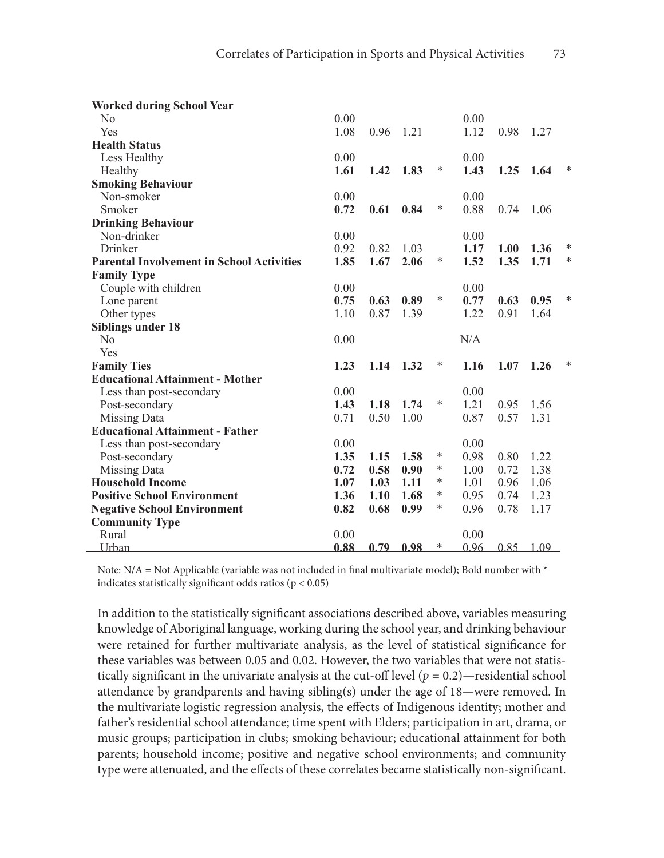| <b>Worked during School Year</b>                 |      |      |      |        |      |      |      |        |
|--------------------------------------------------|------|------|------|--------|------|------|------|--------|
| No                                               | 0.00 |      |      |        | 0.00 |      |      |        |
| Yes                                              | 1.08 | 0.96 | 1.21 |        | 1.12 | 0.98 | 1.27 |        |
| <b>Health Status</b>                             |      |      |      |        |      |      |      |        |
| Less Healthy                                     | 0.00 |      |      |        | 0.00 |      |      |        |
| Healthy                                          | 1.61 | 1.42 | 1.83 | ∗      | 1.43 | 1.25 | 1.64 | *      |
| <b>Smoking Behaviour</b>                         |      |      |      |        |      |      |      |        |
| Non-smoker                                       | 0.00 |      |      |        | 0.00 |      |      |        |
| Smoker                                           | 0.72 | 0.61 | 0.84 | *      | 0.88 | 0.74 | 1.06 |        |
| <b>Drinking Behaviour</b>                        |      |      |      |        |      |      |      |        |
| Non-drinker                                      | 0.00 |      |      |        | 0.00 |      |      |        |
| Drinker                                          | 0.92 | 0.82 | 1.03 |        | 1.17 | 1.00 | 1.36 | *      |
| <b>Parental Involvement in School Activities</b> | 1.85 | 1.67 | 2.06 | *      | 1.52 | 1.35 | 1.71 | $\ast$ |
| <b>Family Type</b>                               |      |      |      |        |      |      |      |        |
| Couple with children                             | 0.00 |      |      |        | 0.00 |      |      |        |
| Lone parent                                      | 0.75 | 0.63 | 0.89 | *      | 0.77 | 0.63 | 0.95 | *      |
| Other types                                      | 1.10 | 0.87 | 1.39 |        | 1.22 | 0.91 | 1.64 |        |
| <b>Siblings under 18</b>                         |      |      |      |        |      |      |      |        |
| No                                               | 0.00 |      |      |        | N/A  |      |      |        |
| Yes                                              |      |      |      |        |      |      |      |        |
| <b>Family Ties</b>                               | 1.23 | 1.14 | 1.32 | ∗      | 1.16 | 1.07 | 1.26 | *      |
| <b>Educational Attainment - Mother</b>           |      |      |      |        |      |      |      |        |
| Less than post-secondary                         | 0.00 |      |      |        | 0.00 |      |      |        |
| Post-secondary                                   | 1.43 | 1.18 | 1.74 | *      | 1.21 | 0.95 | 1.56 |        |
| <b>Missing Data</b>                              | 0.71 | 0.50 | 1.00 |        | 0.87 | 0.57 | 1.31 |        |
| <b>Educational Attainment - Father</b>           |      |      |      |        |      |      |      |        |
| Less than post-secondary                         | 0.00 |      |      |        | 0.00 |      |      |        |
| Post-secondary                                   | 1.35 | 1.15 | 1.58 | $\ast$ | 0.98 | 0.80 | 1.22 |        |
| Missing Data                                     | 0.72 | 0.58 | 0.90 | *      | 1.00 | 0.72 | 1.38 |        |
| <b>Household Income</b>                          | 1.07 | 1.03 | 1.11 | $\ast$ | 1.01 | 0.96 | 1.06 |        |
| <b>Positive School Environment</b>               | 1.36 | 1.10 | 1.68 | $\ast$ | 0.95 | 0.74 | 1.23 |        |
| <b>Negative School Environment</b>               | 0.82 | 0.68 | 0.99 | ∗      | 0.96 | 0.78 | 1.17 |        |
| <b>Community Type</b>                            |      |      |      |        |      |      |      |        |
| Rural                                            | 0.00 |      |      |        | 0.00 |      |      |        |
| Urban                                            | 0.88 | 0.79 | 0.98 | *      | 0.96 | 0.85 | 1.09 |        |

Note:  $N/A = Not$  Applicable (variable was not included in final multivariate model); Bold number with  $*$ indicates statistically significant odds ratios ( $p < 0.05$ )

In addition to the statistically significant associations described above, variables measuring knowledge of Aboriginal language, working during the school year, and drinking behaviour were retained for further multivariate analysis, as the level of statistical significance for these variables was between 0.05 and 0.02. However, the two variables that were not statistically significant in the univariate analysis at the cut-off level  $(p = 0.2)$ —residential school attendance by grandparents and having sibling(s) under the age of 18—were removed. In the multivariate logistic regression analysis, the effects of Indigenous identity; mother and father's residential school attendance; time spent with Elders; participation in art, drama, or music groups; participation in clubs; smoking behaviour; educational attainment for both parents; household income; positive and negative school environments; and community type were attenuated, and the effects of these correlates became statistically non-significant.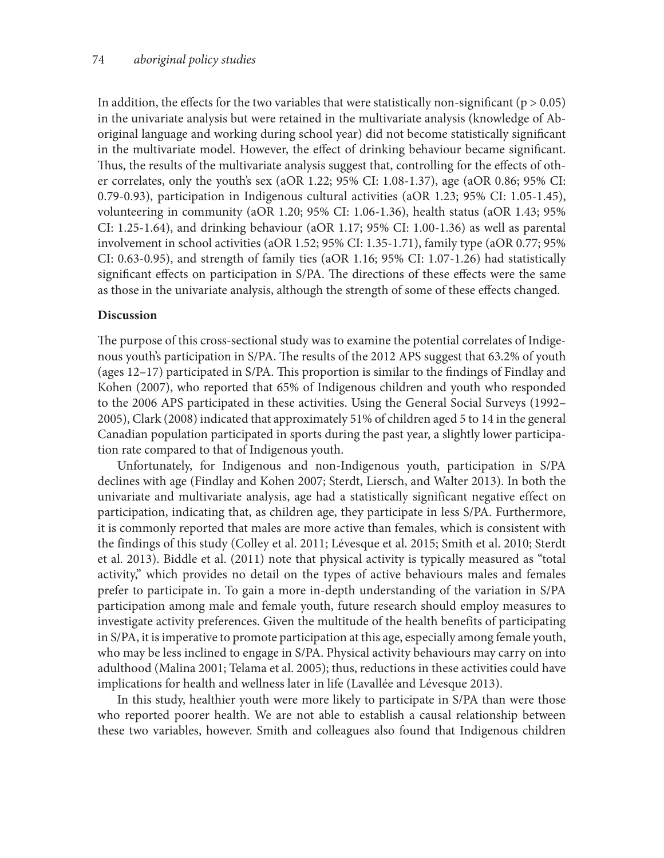In addition, the effects for the two variables that were statistically non-significant ( $p > 0.05$ ) in the univariate analysis but were retained in the multivariate analysis (knowledge of Aboriginal language and working during school year) did not become statistically significant in the multivariate model. However, the effect of drinking behaviour became significant. Thus, the results of the multivariate analysis suggest that, controlling for the effects of other correlates, only the youth's sex (aOR 1.22; 95% CI: 1.08-1.37), age (aOR 0.86; 95% CI: 0.79-0.93), participation in Indigenous cultural activities (aOR 1.23; 95% CI: 1.05-1.45), volunteering in community (aOR 1.20; 95% CI: 1.06-1.36), health status (aOR 1.43; 95% CI: 1.25-1.64), and drinking behaviour (aOR 1.17; 95% CI: 1.00-1.36) as well as parental involvement in school activities (aOR 1.52; 95% CI: 1.35-1.71), family type (aOR 0.77; 95% CI: 0.63-0.95), and strength of family ties (aOR 1.16; 95% CI: 1.07-1.26) had statistically significant effects on participation in S/PA. The directions of these effects were the same as those in the univariate analysis, although the strength of some of these effects changed.

#### **Discussion**

The purpose of this cross-sectional study was to examine the potential correlates of Indigenous youth's participation in S/PA. The results of the 2012 APS suggest that 63.2% of youth (ages 12–17) participated in S/PA. This proportion is similar to the findings of Findlay and Kohen (2007), who reported that 65% of Indigenous children and youth who responded to the 2006 APS participated in these activities. Using the General Social Surveys (1992– 2005), Clark (2008) indicated that approximately 51% of children aged 5 to 14 in the general Canadian population participated in sports during the past year, a slightly lower participation rate compared to that of Indigenous youth.

Unfortunately, for Indigenous and non-Indigenous youth, participation in S/PA declines with age (Findlay and Kohen 2007; Sterdt, Liersch, and Walter 2013). In both the univariate and multivariate analysis, age had a statistically significant negative effect on participation, indicating that, as children age, they participate in less S/PA. Furthermore, it is commonly reported that males are more active than females, which is consistent with the findings of this study (Colley et al. 2011; Lévesque et al. 2015; Smith et al. 2010; Sterdt et al. 2013). Biddle et al. (2011) note that physical activity is typically measured as "total activity," which provides no detail on the types of active behaviours males and females prefer to participate in. To gain a more in-depth understanding of the variation in S/PA participation among male and female youth, future research should employ measures to investigate activity preferences. Given the multitude of the health benefits of participating in S/PA, it is imperative to promote participation at this age, especially among female youth, who may be less inclined to engage in S/PA. Physical activity behaviours may carry on into adulthood (Malina 2001; Telama et al. 2005); thus, reductions in these activities could have implications for health and wellness later in life (Lavallée and Lévesque 2013).

In this study, healthier youth were more likely to participate in S/PA than were those who reported poorer health. We are not able to establish a causal relationship between these two variables, however. Smith and colleagues also found that Indigenous children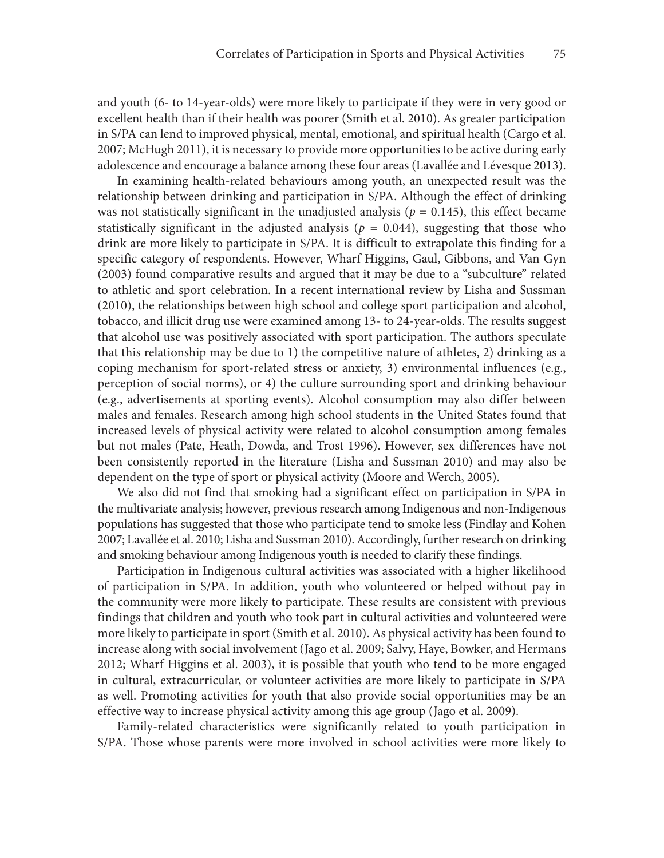and youth (6- to 14-year-olds) were more likely to participate if they were in very good or excellent health than if their health was poorer (Smith et al. 2010). As greater participation in S/PA can lend to improved physical, mental, emotional, and spiritual health (Cargo et al. 2007; McHugh 2011), it is necessary to provide more opportunities to be active during early adolescence and encourage a balance among these four areas (Lavallée and Lévesque 2013).

In examining health-related behaviours among youth, an unexpected result was the relationship between drinking and participation in S/PA. Although the effect of drinking was not statistically significant in the unadjusted analysis ( $p = 0.145$ ), this effect became statistically significant in the adjusted analysis ( $p = 0.044$ ), suggesting that those who drink are more likely to participate in S/PA. It is difficult to extrapolate this finding for a specific category of respondents. However, Wharf Higgins, Gaul, Gibbons, and Van Gyn (2003) found comparative results and argued that it may be due to a "subculture" related to athletic and sport celebration. In a recent international review by Lisha and Sussman (2010), the relationships between high school and college sport participation and alcohol, tobacco, and illicit drug use were examined among 13- to 24-year-olds. The results suggest that alcohol use was positively associated with sport participation. The authors speculate that this relationship may be due to 1) the competitive nature of athletes, 2) drinking as a coping mechanism for sport-related stress or anxiety, 3) environmental influences (e.g., perception of social norms), or 4) the culture surrounding sport and drinking behaviour (e.g., advertisements at sporting events). Alcohol consumption may also differ between males and females. Research among high school students in the United States found that increased levels of physical activity were related to alcohol consumption among females but not males (Pate, Heath, Dowda, and Trost 1996). However, sex differences have not been consistently reported in the literature (Lisha and Sussman 2010) and may also be dependent on the type of sport or physical activity (Moore and Werch, 2005).

We also did not find that smoking had a significant effect on participation in S/PA in the multivariate analysis; however, previous research among Indigenous and non-Indigenous populations has suggested that those who participate tend to smoke less (Findlay and Kohen 2007; Lavallée et al. 2010; Lisha and Sussman 2010). Accordingly, further research on drinking and smoking behaviour among Indigenous youth is needed to clarify these findings.

Participation in Indigenous cultural activities was associated with a higher likelihood of participation in S/PA. In addition, youth who volunteered or helped without pay in the community were more likely to participate. These results are consistent with previous findings that children and youth who took part in cultural activities and volunteered were more likely to participate in sport (Smith et al. 2010). As physical activity has been found to increase along with social involvement (Jago et al. 2009; Salvy, Haye, Bowker, and Hermans 2012; Wharf Higgins et al. 2003), it is possible that youth who tend to be more engaged in cultural, extracurricular, or volunteer activities are more likely to participate in S/PA as well. Promoting activities for youth that also provide social opportunities may be an effective way to increase physical activity among this age group (Jago et al. 2009).

Family-related characteristics were significantly related to youth participation in S/PA. Those whose parents were more involved in school activities were more likely to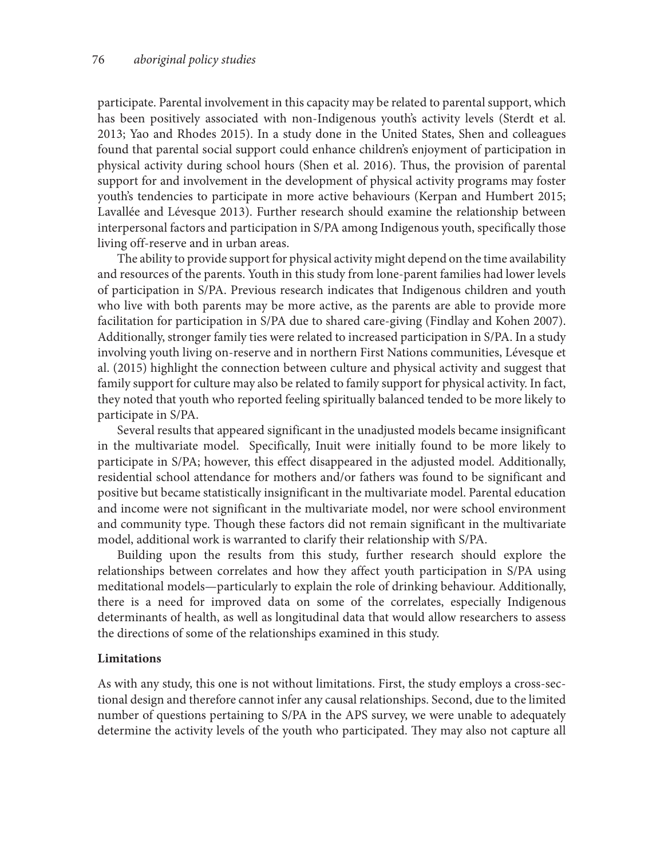participate. Parental involvement in this capacity may be related to parental support, which has been positively associated with non-Indigenous youth's activity levels (Sterdt et al. 2013; Yao and Rhodes 2015). In a study done in the United States, Shen and colleagues found that parental social support could enhance children's enjoyment of participation in physical activity during school hours (Shen et al. 2016). Thus, the provision of parental support for and involvement in the development of physical activity programs may foster youth's tendencies to participate in more active behaviours (Kerpan and Humbert 2015; Lavallée and Lévesque 2013). Further research should examine the relationship between interpersonal factors and participation in S/PA among Indigenous youth, specifically those living off-reserve and in urban areas.

The ability to provide support for physical activity might depend on the time availability and resources of the parents. Youth in this study from lone-parent families had lower levels of participation in S/PA. Previous research indicates that Indigenous children and youth who live with both parents may be more active, as the parents are able to provide more facilitation for participation in S/PA due to shared care-giving (Findlay and Kohen 2007). Additionally, stronger family ties were related to increased participation in S/PA. In a study involving youth living on-reserve and in northern First Nations communities, Lévesque et al. (2015) highlight the connection between culture and physical activity and suggest that family support for culture may also be related to family support for physical activity. In fact, they noted that youth who reported feeling spiritually balanced tended to be more likely to participate in S/PA.

Several results that appeared significant in the unadjusted models became insignificant in the multivariate model. Specifically, Inuit were initially found to be more likely to participate in S/PA; however, this effect disappeared in the adjusted model. Additionally, residential school attendance for mothers and/or fathers was found to be significant and positive but became statistically insignificant in the multivariate model. Parental education and income were not significant in the multivariate model, nor were school environment and community type. Though these factors did not remain significant in the multivariate model, additional work is warranted to clarify their relationship with S/PA.

Building upon the results from this study, further research should explore the relationships between correlates and how they affect youth participation in S/PA using meditational models—particularly to explain the role of drinking behaviour. Additionally, there is a need for improved data on some of the correlates, especially Indigenous determinants of health, as well as longitudinal data that would allow researchers to assess the directions of some of the relationships examined in this study.

#### **Limitations**

As with any study, this one is not without limitations. First, the study employs a cross-sectional design and therefore cannot infer any causal relationships. Second, due to the limited number of questions pertaining to S/PA in the APS survey, we were unable to adequately determine the activity levels of the youth who participated. They may also not capture all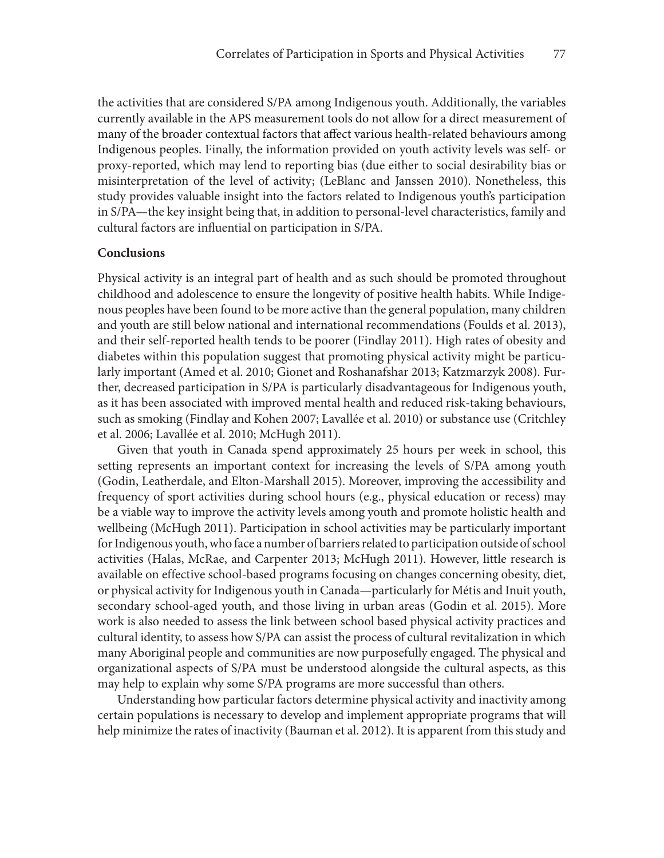the activities that are considered S/PA among Indigenous youth. Additionally, the variables currently available in the APS measurement tools do not allow for a direct measurement of many of the broader contextual factors that affect various health-related behaviours among Indigenous peoples. Finally, the information provided on youth activity levels was self- or proxy-reported, which may lend to reporting bias (due either to social desirability bias or misinterpretation of the level of activity; (LeBlanc and Janssen 2010). Nonetheless, this study provides valuable insight into the factors related to Indigenous youth's participation in S/PA—the key insight being that, in addition to personal-level characteristics, family and cultural factors are influential on participation in S/PA.

#### **Conclusions**

Physical activity is an integral part of health and as such should be promoted throughout childhood and adolescence to ensure the longevity of positive health habits. While Indigenous peoples have been found to be more active than the general population, many children and youth are still below national and international recommendations (Foulds et al. 2013), and their self-reported health tends to be poorer (Findlay 2011). High rates of obesity and diabetes within this population suggest that promoting physical activity might be particularly important (Amed et al. 2010; Gionet and Roshanafshar 2013; Katzmarzyk 2008). Further, decreased participation in S/PA is particularly disadvantageous for Indigenous youth, as it has been associated with improved mental health and reduced risk-taking behaviours, such as smoking (Findlay and Kohen 2007; Lavallée et al. 2010) or substance use (Critchley et al. 2006; Lavallée et al. 2010; McHugh 2011).

Given that youth in Canada spend approximately 25 hours per week in school, this setting represents an important context for increasing the levels of S/PA among youth (Godin, Leatherdale, and Elton-Marshall 2015). Moreover, improving the accessibility and frequency of sport activities during school hours (e.g., physical education or recess) may be a viable way to improve the activity levels among youth and promote holistic health and wellbeing (McHugh 2011). Participation in school activities may be particularly important for Indigenous youth, who face a number of barriers related to participation outside of school activities (Halas, McRae, and Carpenter 2013; McHugh 2011). However, little research is available on effective school-based programs focusing on changes concerning obesity, diet, or physical activity for Indigenous youth in Canada—particularly for Métis and Inuit youth, secondary school-aged youth, and those living in urban areas (Godin et al. 2015). More work is also needed to assess the link between school based physical activity practices and cultural identity, to assess how S/PA can assist the process of cultural revitalization in which many Aboriginal people and communities are now purposefully engaged. The physical and organizational aspects of S/PA must be understood alongside the cultural aspects, as this may help to explain why some S/PA programs are more successful than others.

Understanding how particular factors determine physical activity and inactivity among certain populations is necessary to develop and implement appropriate programs that will help minimize the rates of inactivity (Bauman et al. 2012). It is apparent from this study and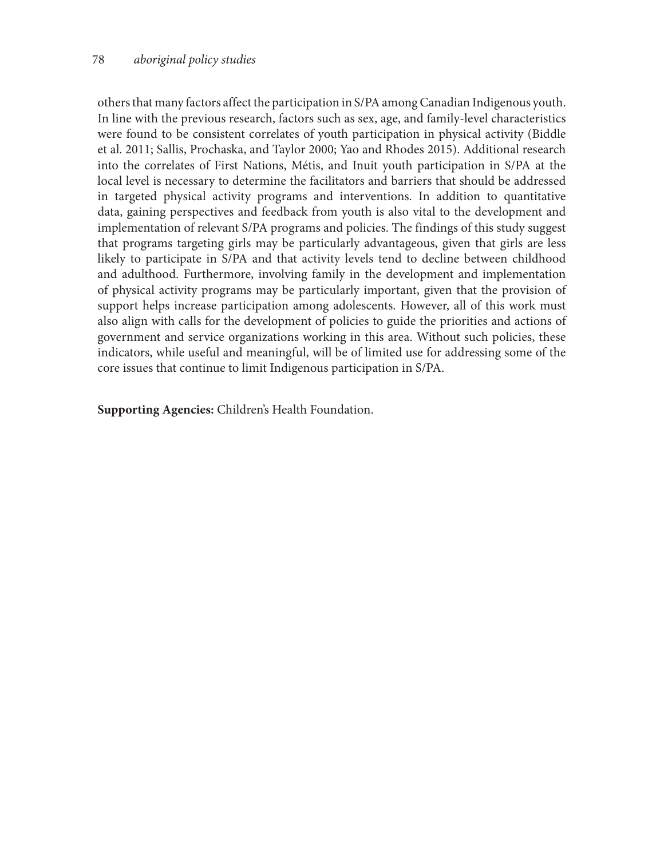others that many factors affect the participation in S/PA among Canadian Indigenous youth. In line with the previous research, factors such as sex, age, and family-level characteristics were found to be consistent correlates of youth participation in physical activity (Biddle et al. 2011; Sallis, Prochaska, and Taylor 2000; Yao and Rhodes 2015). Additional research into the correlates of First Nations, Métis, and Inuit youth participation in S/PA at the local level is necessary to determine the facilitators and barriers that should be addressed in targeted physical activity programs and interventions. In addition to quantitative data, gaining perspectives and feedback from youth is also vital to the development and implementation of relevant S/PA programs and policies. The findings of this study suggest that programs targeting girls may be particularly advantageous, given that girls are less likely to participate in S/PA and that activity levels tend to decline between childhood and adulthood. Furthermore, involving family in the development and implementation of physical activity programs may be particularly important, given that the provision of support helps increase participation among adolescents. However, all of this work must also align with calls for the development of policies to guide the priorities and actions of government and service organizations working in this area. Without such policies, these indicators, while useful and meaningful, will be of limited use for addressing some of the core issues that continue to limit Indigenous participation in S/PA.

**Supporting Agencies:** Children's Health Foundation.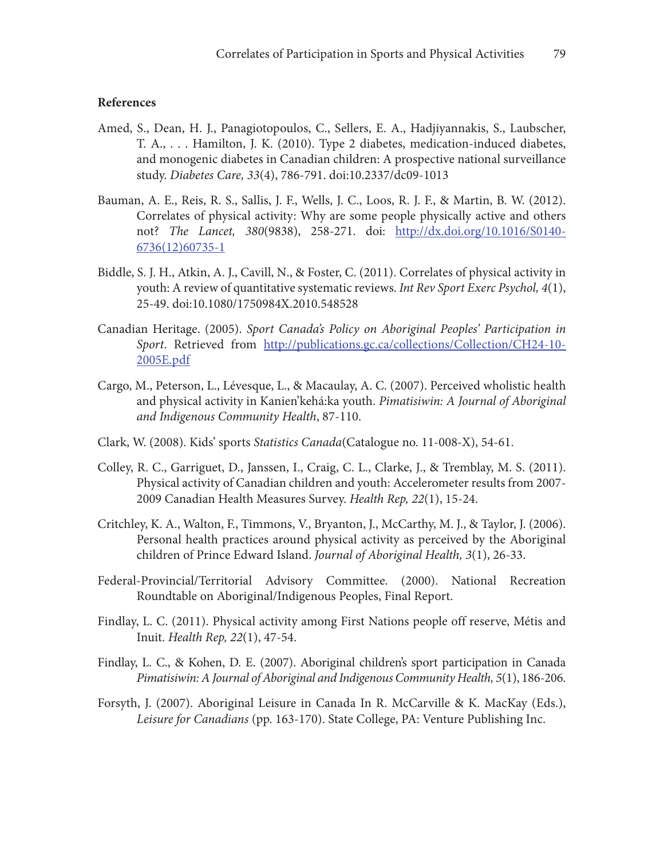#### **References**

- Amed, S., Dean, H. J., Panagiotopoulos, C., Sellers, E. A., Hadjiyannakis, S., Laubscher, T. A., . . . Hamilton, J. K. (2010). Type 2 diabetes, medication-induced diabetes, and monogenic diabetes in Canadian children: A prospective national surveillance study. *Diabetes Care, 33*(4), 786-791. doi:10.2337/dc09-1013
- Bauman, A. E., Reis, R. S., Sallis, J. F., Wells, J. C., Loos, R. J. F., & Martin, B. W. (2012). Correlates of physical activity: Why are some people physically active and others not? *The Lancet, 380*(9838), 258-271. doi: http://dx.doi.org/10.1016/S0140- 6736(12)60735-1
- Biddle, S. J. H., Atkin, A. J., Cavill, N., & Foster, C. (2011). Correlates of physical activity in youth: A review of quantitative systematic reviews. *Int Rev Sport Exerc Psychol, 4*(1), 25-49. doi:10.1080/1750984X.2010.548528
- Canadian Heritage. (2005). *Sport Canada's Policy on Aboriginal Peoples' Participation in Sport*. Retrieved from http://publications.gc.ca/collections/Collection/CH24-10- 2005E.pdf
- Cargo, M., Peterson, L., Lévesque, L., & Macaulay, A. C. (2007). Perceived wholistic health and physical activity in Kanien'kehá:ka youth. *Pimatisiwin: A Journal of Aboriginal and Indigenous Community Health*, 87-110.
- Clark, W. (2008). Kids' sports *Statistics Canada*(Catalogue no. 11-008-X), 54-61.
- Colley, R. C., Garriguet, D., Janssen, I., Craig, C. L., Clarke, J., & Tremblay, M. S. (2011). Physical activity of Canadian children and youth: Accelerometer results from 2007- 2009 Canadian Health Measures Survey. *Health Rep, 22*(1), 15-24.
- Critchley, K. A., Walton, F., Timmons, V., Bryanton, J., McCarthy, M. J., & Taylor, J. (2006). Personal health practices around physical activity as perceived by the Aboriginal children of Prince Edward Island. *Journal of Aboriginal Health, 3*(1), 26-33.
- Federal-Provincial/Territorial Advisory Committee. (2000). National Recreation Roundtable on Aboriginal/Indigenous Peoples, Final Report.
- Findlay, L. C. (2011). Physical activity among First Nations people off reserve, Métis and Inuit. *Health Rep, 22*(1), 47-54.
- Findlay, L. C., & Kohen, D. E. (2007). Aboriginal children's sport participation in Canada *Pimatisiwin: A Journal of Aboriginal and Indigenous Community Health, 5*(1), 186-206.
- Forsyth, J. (2007). Aboriginal Leisure in Canada In R. McCarville & K. MacKay (Eds.), *Leisure for Canadians* (pp. 163-170). State College, PA: Venture Publishing Inc.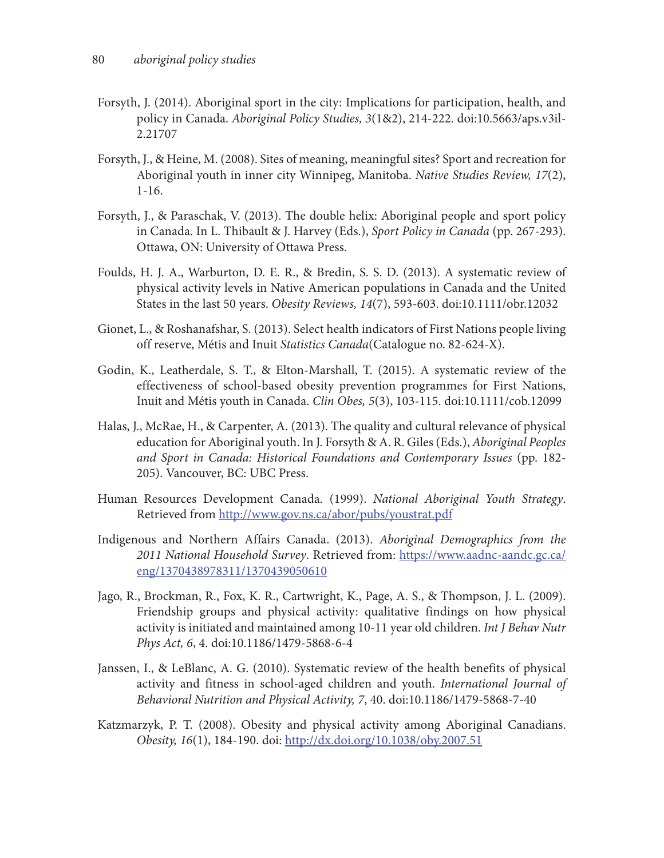- Forsyth, J. (2014). Aboriginal sport in the city: Implications for participation, health, and policy in Canada. *Aboriginal Policy Studies, 3*(1&2), 214-222. doi:10.5663/aps.v3il-2.21707
- Forsyth, J., & Heine, M. (2008). Sites of meaning, meaningful sites? Sport and recreation for Aboriginal youth in inner city Winnipeg, Manitoba. *Native Studies Review, 17*(2), 1-16.
- Forsyth, J., & Paraschak, V. (2013). The double helix: Aboriginal people and sport policy in Canada. In L. Thibault & J. Harvey (Eds.), *Sport Policy in Canada* (pp. 267-293). Ottawa, ON: University of Ottawa Press.
- Foulds, H. J. A., Warburton, D. E. R., & Bredin, S. S. D. (2013). A systematic review of physical activity levels in Native American populations in Canada and the United States in the last 50 years. *Obesity Reviews, 14*(7), 593-603. doi:10.1111/obr.12032
- Gionet, L., & Roshanafshar, S. (2013). Select health indicators of First Nations people living off reserve, Métis and Inuit *Statistics Canada*(Catalogue no. 82-624-X).
- Godin, K., Leatherdale, S. T., & Elton-Marshall, T. (2015). A systematic review of the effectiveness of school-based obesity prevention programmes for First Nations, Inuit and Métis youth in Canada. *Clin Obes, 5*(3), 103-115. doi:10.1111/cob.12099
- Halas, J., McRae, H., & Carpenter, A. (2013). The quality and cultural relevance of physical education for Aboriginal youth. In J. Forsyth & A. R. Giles (Eds.), *Aboriginal Peoples and Sport in Canada: Historical Foundations and Contemporary Issues* (pp. 182- 205). Vancouver, BC: UBC Press.
- Human Resources Development Canada. (1999). *National Aboriginal Youth Strategy*. Retrieved from http://www.gov.ns.ca/abor/pubs/youstrat.pdf
- Indigenous and Northern Affairs Canada. (2013). *Aboriginal Demographics from the 2011 National Household Survey*. Retrieved from: https://www.aadnc-aandc.gc.ca/ eng/1370438978311/1370439050610
- Jago, R., Brockman, R., Fox, K. R., Cartwright, K., Page, A. S., & Thompson, J. L. (2009). Friendship groups and physical activity: qualitative findings on how physical activity is initiated and maintained among 10-11 year old children. *Int J Behav Nutr Phys Act, 6*, 4. doi:10.1186/1479-5868-6-4
- Janssen, I., & LeBlanc, A. G. (2010). Systematic review of the health benefits of physical activity and fitness in school-aged children and youth. *International Journal of Behavioral Nutrition and Physical Activity, 7*, 40. doi:10.1186/1479-5868-7-40
- Katzmarzyk, P. T. (2008). Obesity and physical activity among Aboriginal Canadians. *Obesity, 16*(1), 184-190. doi: http://dx.doi.org/10.1038/oby.2007.51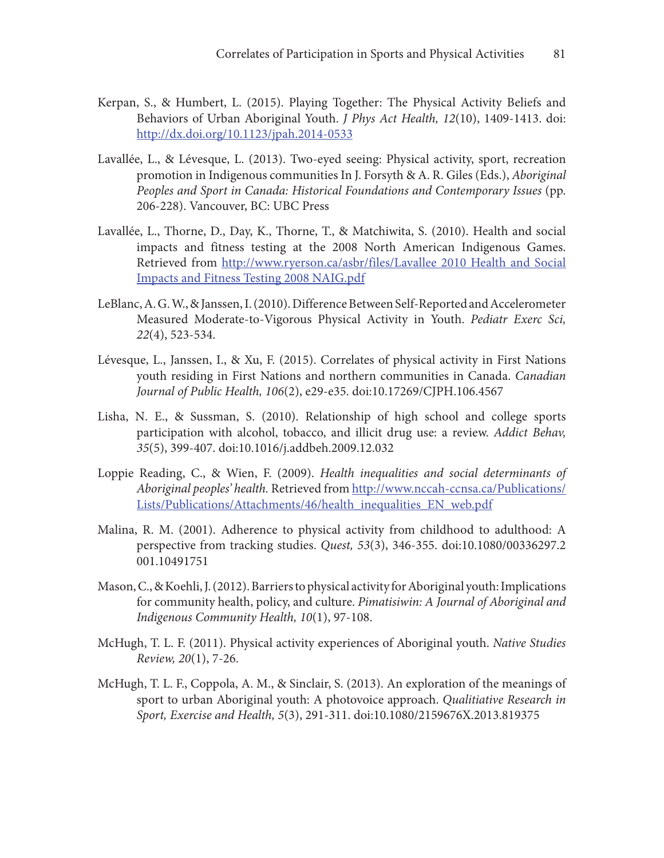- Kerpan, S., & Humbert, L. (2015). Playing Together: The Physical Activity Beliefs and Behaviors of Urban Aboriginal Youth. *J Phys Act Health, 12*(10), 1409-1413. doi: http://dx.doi.org/10.1123/jpah.2014-0533
- Lavallée, L., & Lévesque, L. (2013). Two-eyed seeing: Physical activity, sport, recreation promotion in Indigenous communities In J. Forsyth & A. R. Giles (Eds.), *Aboriginal Peoples and Sport in Canada: Historical Foundations and Contemporary Issues (pp.* 206-228). Vancouver, BC: UBC Press
- Lavallée, L., Thorne, D., Day, K., Thorne, T., & Matchiwita, S. (2010). Health and social impacts and fitness testing at the 2008 North American Indigenous Games. Retrieved from http://www.ryerson.ca/asbr/files/Lavallee 2010 Health and Social Impacts and Fitness Testing 2008 NAIG.pdf
- LeBlanc, A. G. W., & Janssen, I. (2010). Difference Between Self-Reported and Accelerometer Measured Moderate-to-Vigorous Physical Activity in Youth. *Pediatr Exerc Sci, 22*(4), 523-534.
- Lévesque, L., Janssen, I., & Xu, F. (2015). Correlates of physical activity in First Nations youth residing in First Nations and northern communities in Canada. *Canadian Journal of Public Health, 106*(2), e29-e35. doi:10.17269/CJPH.106.4567
- Lisha, N. E., & Sussman, S. (2010). Relationship of high school and college sports participation with alcohol, tobacco, and illicit drug use: a review. *Addict Behav, 35*(5), 399-407. doi:10.1016/j.addbeh.2009.12.032
- Loppie Reading, C., & Wien, F. (2009). *Health inequalities and social determinants of Aboriginal peoples' health.* Retrieved from http://www.nccah-ccnsa.ca/Publications/ Lists/Publications/Attachments/46/health\_inequalities\_EN\_web.pdf
- Malina, R. M. (2001). Adherence to physical activity from childhood to adulthood: A perspective from tracking studies. *Quest, 53*(3), 346-355. doi:10.1080/00336297.2 001.10491751
- Mason, C., & Koehli, J. (2012). Barriers to physical activity for Aboriginal youth: Implications for community health, policy, and culture. *Pimatisiwin: A Journal of Aboriginal and Indigenous Community Health, 10*(1), 97-108.
- McHugh, T. L. F. (2011). Physical activity experiences of Aboriginal youth. *Native Studies Review, 20*(1), 7-26.
- McHugh, T. L. F., Coppola, A. M., & Sinclair, S. (2013). An exploration of the meanings of sport to urban Aboriginal youth: A photovoice approach. *Qualitiative Research in Sport, Exercise and Health, 5*(3), 291-311. doi:10.1080/2159676X.2013.819375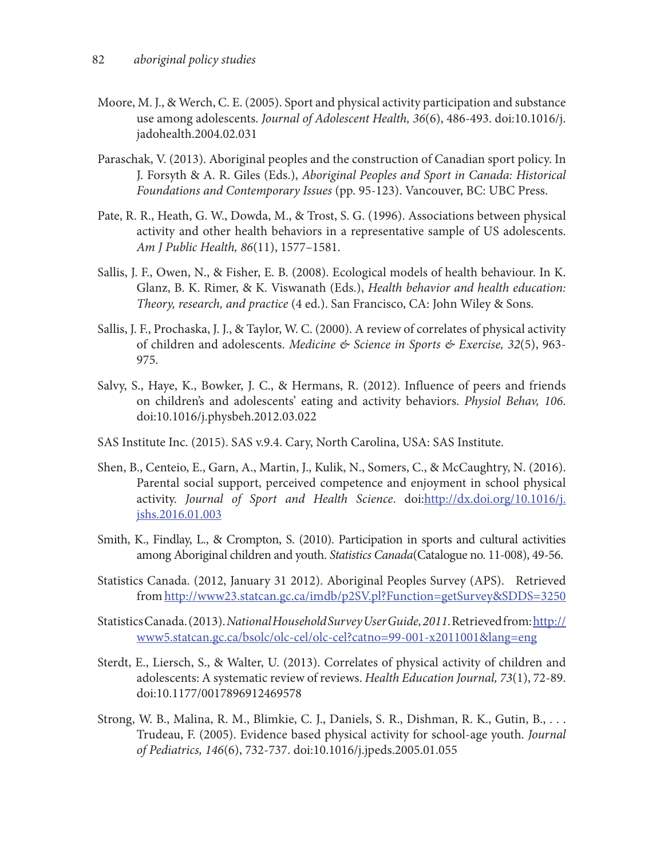- Moore, M. J., & Werch, C. E. (2005). Sport and physical activity participation and substance use among adolescents. *Journal of Adolescent Health, 36*(6), 486-493. doi:10.1016/j. jadohealth.2004.02.031
- Paraschak, V. (2013). Aboriginal peoples and the construction of Canadian sport policy. In J. Forsyth & A. R. Giles (Eds.), *Aboriginal Peoples and Sport in Canada: Historical Foundations and Contemporary Issues* (pp. 95-123). Vancouver, BC: UBC Press.
- Pate, R. R., Heath, G. W., Dowda, M., & Trost, S. G. (1996). Associations between physical activity and other health behaviors in a representative sample of US adolescents. *Am J Public Health, 86*(11), 1577–1581.
- Sallis, J. F., Owen, N., & Fisher, E. B. (2008). Ecological models of health behaviour. In K. Glanz, B. K. Rimer, & K. Viswanath (Eds.), *Health behavior and health education: Theory, research, and practice* (4 ed.). San Francisco, CA: John Wiley & Sons.
- Sallis, J. F., Prochaska, J. J., & Taylor, W. C. (2000). A review of correlates of physical activity of children and adolescents. *Medicine & Science in Sports & Exercise, 32*(5), 963- 975.
- Salvy, S., Haye, K., Bowker, J. C., & Hermans, R. (2012). Influence of peers and friends on children's and adolescents' eating and activity behaviors. *Physiol Behav, 106*. doi:10.1016/j.physbeh.2012.03.022
- SAS Institute Inc. (2015). SAS v.9.4. Cary, North Carolina, USA: SAS Institute.
- Shen, B., Centeio, E., Garn, A., Martin, J., Kulik, N., Somers, C., & McCaughtry, N. (2016). Parental social support, perceived competence and enjoyment in school physical activity. *Journal of Sport and Health Science*. doi:http://dx.doi.org/10.1016/j. jshs.2016.01.003
- Smith, K., Findlay, L., & Crompton, S. (2010). Participation in sports and cultural activities among Aboriginal children and youth. *Statistics Canada*(Catalogue no. 11-008), 49-56.
- Statistics Canada. (2012, January 31 2012). Aboriginal Peoples Survey (APS). Retrieved from http://www23.statcan.gc.ca/imdb/p2SV.pl?Function=getSurvey&SDDS=3250
- Statistics Canada. (2013). *National Household Survey User Guide, 2011*. Retrieved from: http:// www5.statcan.gc.ca/bsolc/olc-cel/olc-cel?catno=99-001-x2011001&lang=eng
- Sterdt, E., Liersch, S., & Walter, U. (2013). Correlates of physical activity of children and adolescents: A systematic review of reviews. *Health Education Journal, 73*(1), 72-89. doi:10.1177/0017896912469578
- Strong, W. B., Malina, R. M., Blimkie, C. J., Daniels, S. R., Dishman, R. K., Gutin, B., . . . Trudeau, F. (2005). Evidence based physical activity for school-age youth. *Journal of Pediatrics, 146*(6), 732-737. doi:10.1016/j.jpeds.2005.01.055